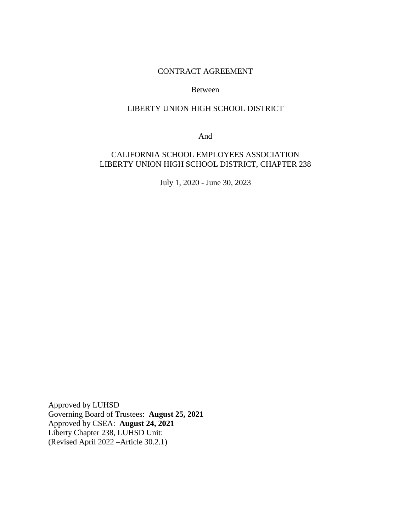# CONTRACT AGREEMENT

#### Between

# LIBERTY UNION HIGH SCHOOL DISTRICT

And

# CALIFORNIA SCHOOL EMPLOYEES ASSOCIATION LIBERTY UNION HIGH SCHOOL DISTRICT, CHAPTER 238

July 1, 2020 - June 30, 2023

Approved by LUHSD Governing Board of Trustees: **August 25, 2021** Approved by CSEA: **August 24, 2021**  Liberty Chapter 238, LUHSD Unit: (Revised April 2022 –Article 30.2.1)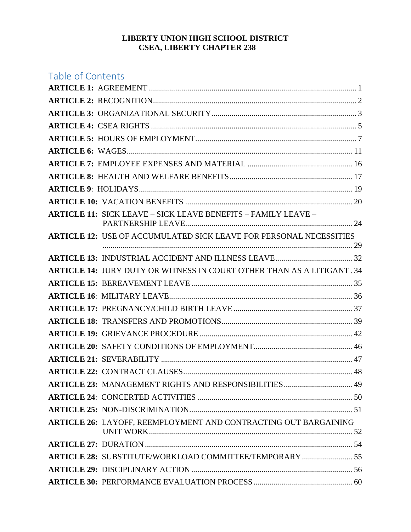## **LIBERTY UNION HIGH SCHOOL DISTRICT CSEA, LIBERTY CHAPTER 238**

# Table of Contents **ARTICLE 1:** AGREEMENT [....................................................................................................... 1](#page-3-0) **ARTICLE 2:** [RECOGNITION..................................................................................................... 2](#page-4-0) **ARTICLE 3:** [ORGANIZATIONAL SECURITY........................................................................ 3](#page-5-0) **ARTICLE 4:** CSEA RIGHTS [...................................................................................................... 5](#page-7-0) **ARTICLE 5:** [HOURS OF EMPLOYMENT................................................................................ 7](#page-9-0) **ARTICLE 6:** [WAGES ................................................................................................................ 11](#page-13-0) **ARTICLE 7:** [EMPLOYEE EXPENSES AND MATERIAL .................................................... 16](#page-18-0) **ARTICLE 8:** [HEALTH AND WELFARE BENEFITS ............................................................. 17](#page-19-0) **ARTICLE 9**[: HOLIDAYS .......................................................................................................... 19](#page-21-0) **ARTICLE 10:** [VACATION BENEFITS ................................................................................... 20](#page-22-0) **ARTICLE 11:** [SICK LEAVE – SICK LEAVE BENEFITS – FAMILY LEAVE –](#page-26-0)  [PARTNERSHIP LEAVE................................................................................... 24](#page-26-0) **ARTICLE 12:** [USE OF ACCUMULATED SICK LEAVE FOR PERSONAL NECESSITIES](#page-31-0) [............................................................................................................................ 29](#page-31-0) **ARTICLE 13:** [INDUSTRIAL ACCIDENT AND ILLNESS LEAVE ...................................... 32](#page-34-0) **ARTICLE 14:** [JURY DUTY OR WITNESS IN COURT OTHER THAN AS A LITIGANT . 34](#page-36-0) **ARTICLE 15:** [BEREAVEMENT LEAVE ................................................................................ 35](#page-37-0) **ARTICLE 16**[: MILITARY LEAVE........................................................................................... 36](#page-38-0) **ARTICLE 17:** [PREGNANCY/CHILD BIRTH LEAVE ........................................................... 37](#page-39-0) **ARTICLE 18:** [TRANSFERS AND PROMOTIONS ................................................................. 39](#page-41-0) **ARTICLE 19:** [GRIEVANCE PROCEDURE ............................................................................ 42](#page-44-0) **ARTICLE 20:** [SAFETY CONDITIONS OF EMPLOYMENT................................................. 46](#page-48-0) **ARTICLE 21:** [SEVERABILITY ............................................................................................... 47](#page-49-0) **ARTICLE 22:** [CONTRACT CLAUSES .................................................................................... 48](#page-50-0) **ARTICLE 23:** [MANAGEMENT RIGHTS AND RESPONSIBILITIES .................................. 49](#page-51-0) **ARTICLE 24**[: CONCERTED ACTIVITIES ............................................................................. 50](#page-52-0) **ARTICLE 25:** [NON-DISCRIMINATION ................................................................................. 51](#page-53-0) **ARTICLE 26:** [LAYOFF, REEMPLOYMENT AND CONTRACTING OUT BARGAINING](#page-54-0)  [UNIT WORK ..................................................................................................... 52](#page-54-0) **ARTICLE 27:** [DURATION ....................................................................................................... 54](#page-56-0) **ARTICLE 28:** [SUBSTITUTE/WORKLOAD COMMITTEE/TEMPORARY ......................... 55](#page-57-0) **ARTICLE 29:** [DISCIPLINARY ACTION ................................................................................ 56](#page-58-0) **ARTICLE 30:** [PERFORMANCE EVALUATION PROCESS ................................................. 60](#page-62-0)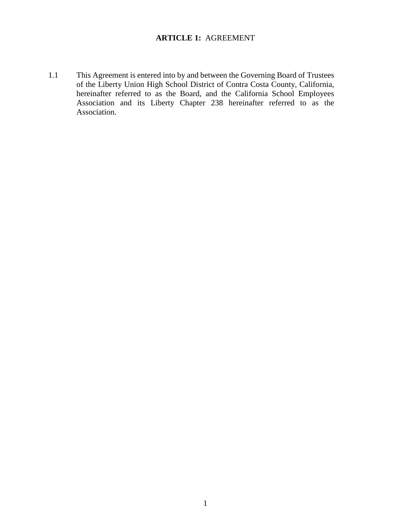# **ARTICLE 1:** AGREEMENT

<span id="page-3-0"></span>1.1 This Agreement is entered into by and between the Governing Board of Trustees of the Liberty Union High School District of Contra Costa County, California, hereinafter referred to as the Board, and the California School Employees Association and its Liberty Chapter 238 hereinafter referred to as the Association.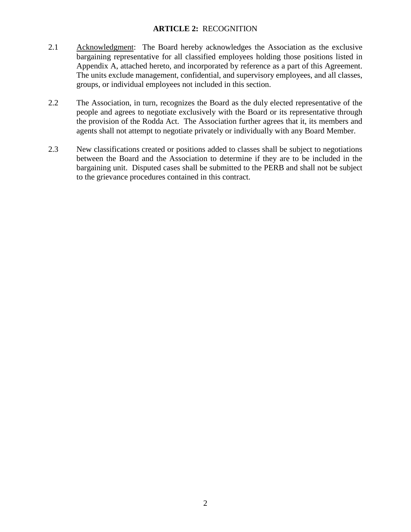# **ARTICLE 2:** RECOGNITION

- <span id="page-4-0"></span>2.1 Acknowledgment: The Board hereby acknowledges the Association as the exclusive bargaining representative for all classified employees holding those positions listed in Appendix A, attached hereto, and incorporated by reference as a part of this Agreement. The units exclude management, confidential, and supervisory employees, and all classes, groups, or individual employees not included in this section.
- 2.2 The Association, in turn, recognizes the Board as the duly elected representative of the people and agrees to negotiate exclusively with the Board or its representative through the provision of the Rodda Act. The Association further agrees that it, its members and agents shall not attempt to negotiate privately or individually with any Board Member.
- 2.3 New classifications created or positions added to classes shall be subject to negotiations between the Board and the Association to determine if they are to be included in the bargaining unit. Disputed cases shall be submitted to the PERB and shall not be subject to the grievance procedures contained in this contract.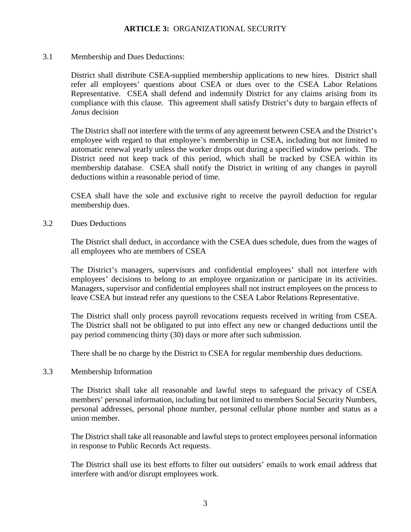## **ARTICLE 3:** ORGANIZATIONAL SECURITY

<span id="page-5-0"></span>3.1 Membership and Dues Deductions:

District shall distribute CSEA-supplied membership applications to new hires. District shall refer all employees' questions about CSEA or dues over to the CSEA Labor Relations Representative. CSEA shall defend and indemnify District for any claims arising from its compliance with this clause. This agreement shall satisfy District's duty to bargain effects of *Janus* decision

The District shall not interfere with the terms of any agreement between CSEA and the District's employee with regard to that employee's membership in CSEA, including but not limited to automatic renewal yearly unless the worker drops out during a specified window periods. The District need not keep track of this period, which shall be tracked by CSEA within its membership database. CSEA shall notify the District in writing of any changes in payroll deductions within a reasonable period of time.

CSEA shall have the sole and exclusive right to receive the payroll deduction for regular membership dues.

3.2 Dues Deductions

The District shall deduct, in accordance with the CSEA dues schedule, dues from the wages of all employees who are members of CSEA

The District's managers, supervisors and confidential employees' shall not interfere with employees' decisions to belong to an employee organization or participate in its activities. Managers, supervisor and confidential employees shall not instruct employees on the process to leave CSEA but instead refer any questions to the CSEA Labor Relations Representative.

The District shall only process payroll revocations requests received in writing from CSEA. The District shall not be obligated to put into effect any new or changed deductions until the pay period commencing thirty (30) days or more after such submission.

There shall be no charge by the District to CSEA for regular membership dues deductions.

#### 3.3 Membership Information

The District shall take all reasonable and lawful steps to safeguard the privacy of CSEA members' personal information, including but not limited to members Social Security Numbers, personal addresses, personal phone number, personal cellular phone number and status as a union member.

The District shall take all reasonable and lawful steps to protect employees personal information in response to Public Records Act requests.

The District shall use its best efforts to filter out outsiders' emails to work email address that interfere with and/or disrupt employees work.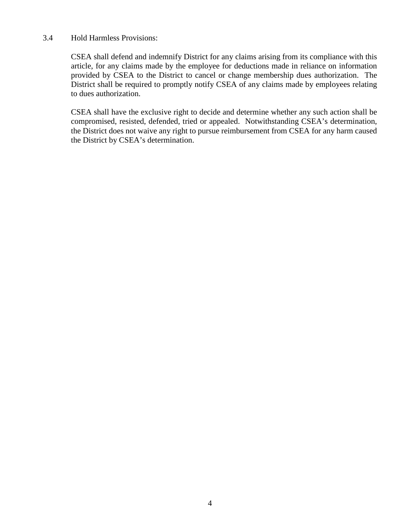#### 3.4 Hold Harmless Provisions:

CSEA shall defend and indemnify District for any claims arising from its compliance with this article, for any claims made by the employee for deductions made in reliance on information provided by CSEA to the District to cancel or change membership dues authorization. The District shall be required to promptly notify CSEA of any claims made by employees relating to dues authorization.

CSEA shall have the exclusive right to decide and determine whether any such action shall be compromised, resisted, defended, tried or appealed. Notwithstanding CSEA's determination, the District does not waive any right to pursue reimbursement from CSEA for any harm caused the District by CSEA's determination.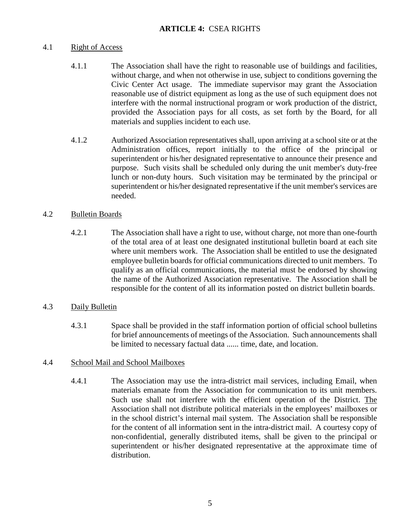# **ARTICLE 4:** CSEA RIGHTS

## <span id="page-7-0"></span>4.1 Right of Access

- 4.1.1 The Association shall have the right to reasonable use of buildings and facilities, without charge, and when not otherwise in use, subject to conditions governing the Civic Center Act usage. The immediate supervisor may grant the Association reasonable use of district equipment as long as the use of such equipment does not interfere with the normal instructional program or work production of the district, provided the Association pays for all costs, as set forth by the Board, for all materials and supplies incident to each use.
- 4.1.2 Authorized Association representatives shall, upon arriving at a school site or at the Administration offices, report initially to the office of the principal or superintendent or his/her designated representative to announce their presence and purpose. Such visits shall be scheduled only during the unit member's duty-free lunch or non-duty hours. Such visitation may be terminated by the principal or superintendent or his/her designated representative if the unit member's services are needed.

# 4.2 Bulletin Boards

4.2.1 The Association shall have a right to use, without charge, not more than one-fourth of the total area of at least one designated institutional bulletin board at each site where unit members work. The Association shall be entitled to use the designated employee bulletin boards for official communications directed to unit members. To qualify as an official communications, the material must be endorsed by showing the name of the Authorized Association representative. The Association shall be responsible for the content of all its information posted on district bulletin boards.

# 4.3 Daily Bulletin

4.3.1 Space shall be provided in the staff information portion of official school bulletins for brief announcements of meetings of the Association. Such announcements shall be limited to necessary factual data ...... time, date, and location.

# 4.4 School Mail and School Mailboxes

4.4.1 The Association may use the intra-district mail services, including Email, when materials emanate from the Association for communication to its unit members. Such use shall not interfere with the efficient operation of the District. The Association shall not distribute political materials in the employees' mailboxes or in the school district's internal mail system. The Association shall be responsible for the content of all information sent in the intra-district mail. A courtesy copy of non-confidential, generally distributed items, shall be given to the principal or superintendent or his/her designated representative at the approximate time of distribution.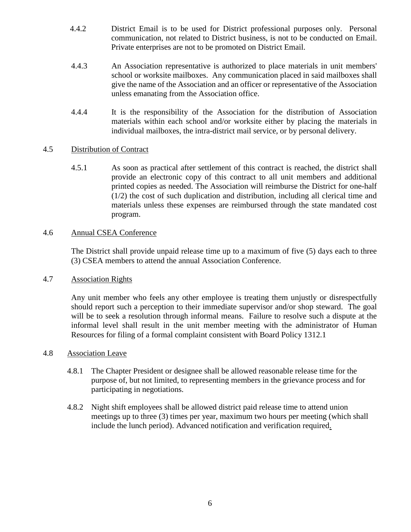- 4.4.2 District Email is to be used for District professional purposes only. Personal communication, not related to District business, is not to be conducted on Email. Private enterprises are not to be promoted on District Email.
- 4.4.3 An Association representative is authorized to place materials in unit members' school or worksite mailboxes. Any communication placed in said mailboxes shall give the name of the Association and an officer or representative of the Association unless emanating from the Association office.
- 4.4.4 It is the responsibility of the Association for the distribution of Association materials within each school and/or worksite either by placing the materials in individual mailboxes, the intra-district mail service, or by personal delivery.

# 4.5 Distribution of Contract

4.5.1 As soon as practical after settlement of this contract is reached, the district shall provide an electronic copy of this contract to all unit members and additional printed copies as needed. The Association will reimburse the District for one-half (1/2) the cost of such duplication and distribution, including all clerical time and materials unless these expenses are reimbursed through the state mandated cost program.

## 4.6 Annual CSEA Conference

The District shall provide unpaid release time up to a maximum of five (5) days each to three (3) CSEA members to attend the annual Association Conference.

#### 4.7 Association Rights

Any unit member who feels any other employee is treating them unjustly or disrespectfully should report such a perception to their immediate supervisor and/or shop steward. The goal will be to seek a resolution through informal means. Failure to resolve such a dispute at the informal level shall result in the unit member meeting with the administrator of Human Resources for filing of a formal complaint consistent with Board Policy 1312.1

#### 4.8 Association Leave

- 4.8.1 The Chapter President or designee shall be allowed reasonable release time for the purpose of, but not limited, to representing members in the grievance process and for participating in negotiations.
- 4.8.2 Night shift employees shall be allowed district paid release time to attend union meetings up to three (3) times per year, maximum two hours per meeting (which shall include the lunch period). Advanced notification and verification required.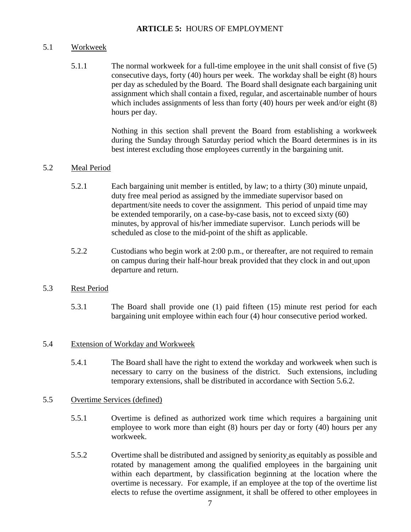## **ARTICLE 5:** HOURS OF EMPLOYMENT

## <span id="page-9-0"></span>5.1 Workweek

5.1.1 The normal workweek for a full-time employee in the unit shall consist of five (5) consecutive days, forty (40) hours per week. The workday shall be eight (8) hours per day as scheduled by the Board. The Board shall designate each bargaining unit assignment which shall contain a fixed, regular, and ascertainable number of hours which includes assignments of less than forty (40) hours per week and/or eight (8) hours per day.

> Nothing in this section shall prevent the Board from establishing a workweek during the Sunday through Saturday period which the Board determines is in its best interest excluding those employees currently in the bargaining unit.

## 5.2 Meal Period

- 5.2.1 Each bargaining unit member is entitled, by law; to a thirty (30) minute unpaid, duty free meal period as assigned by the immediate supervisor based on department/site needs to cover the assignment. This period of unpaid time may be extended temporarily, on a case-by-case basis, not to exceed sixty (60) minutes, by approval of his/her immediate supervisor. Lunch periods will be scheduled as close to the mid-point of the shift as applicable.
- 5.2.2 Custodians who begin work at 2:00 p.m., or thereafter, are not required to remain on campus during their half-hour break provided that they clock in and out upon departure and return.

#### 5.3 Rest Period

5.3.1 The Board shall provide one (1) paid fifteen (15) minute rest period for each bargaining unit employee within each four (4) hour consecutive period worked.

#### 5.4 Extension of Workday and Workweek

5.4.1 The Board shall have the right to extend the workday and workweek when such is necessary to carry on the business of the district. Such extensions, including temporary extensions, shall be distributed in accordance with Section 5.6.2.

#### 5.5 Overtime Services (defined)

- 5.5.1 Overtime is defined as authorized work time which requires a bargaining unit employee to work more than eight (8) hours per day or forty (40) hours per any workweek.
- 5.5.2 Overtime shall be distributed and assigned by seniority as equitably as possible and rotated by management among the qualified employees in the bargaining unit within each department, by classification beginning at the location where the overtime is necessary. For example, if an employee at the top of the overtime list elects to refuse the overtime assignment, it shall be offered to other employees in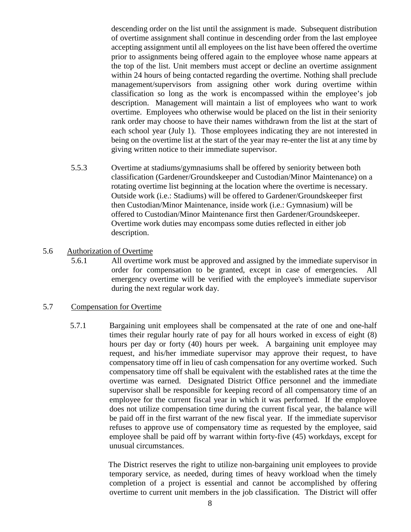descending order on the list until the assignment is made. Subsequent distribution of overtime assignment shall continue in descending order from the last employee accepting assignment until all employees on the list have been offered the overtime prior to assignments being offered again to the employee whose name appears at the top of the list. Unit members must accept or decline an overtime assignment within 24 hours of being contacted regarding the overtime. Nothing shall preclude management/supervisors from assigning other work during overtime within classification so long as the work is encompassed within the employee's job description. Management will maintain a list of employees who want to work overtime. Employees who otherwise would be placed on the list in their seniority rank order may choose to have their names withdrawn from the list at the start of each school year (July 1). Those employees indicating they are not interested in being on the overtime list at the start of the year may re-enter the list at any time by giving written notice to their immediate supervisor.

 5.5.3 Overtime at stadiums/gymnasiums shall be offered by seniority between both classification (Gardener/Groundskeeper and Custodian/Minor Maintenance) on a rotating overtime list beginning at the location where the overtime is necessary. Outside work (i.e.: Stadiums) will be offered to Gardener/Groundskeeper first then Custodian/Minor Maintenance, inside work (i.e.: Gymnasium) will be offered to Custodian/Minor Maintenance first then Gardener/Groundskeeper. Overtime work duties may encompass some duties reflected in either job description.

## 5.6 Authorization of Overtime

5.6.1 All overtime work must be approved and assigned by the immediate supervisor in order for compensation to be granted, except in case of emergencies. All emergency overtime will be verified with the employee's immediate supervisor during the next regular work day.

#### 5.7 Compensation for Overtime

5.7.1 Bargaining unit employees shall be compensated at the rate of one and one-half times their regular hourly rate of pay for all hours worked in excess of eight (8) hours per day or forty (40) hours per week. A bargaining unit employee may request, and his/her immediate supervisor may approve their request, to have compensatory time off in lieu of cash compensation for any overtime worked. Such compensatory time off shall be equivalent with the established rates at the time the overtime was earned. Designated District Office personnel and the immediate supervisor shall be responsible for keeping record of all compensatory time of an employee for the current fiscal year in which it was performed. If the employee does not utilize compensation time during the current fiscal year, the balance will be paid off in the first warrant of the new fiscal year. If the immediate supervisor refuses to approve use of compensatory time as requested by the employee, said employee shall be paid off by warrant within forty-five (45) workdays, except for unusual circumstances.

> The District reserves the right to utilize non-bargaining unit employees to provide temporary service, as needed, during times of heavy workload when the timely completion of a project is essential and cannot be accomplished by offering overtime to current unit members in the job classification. The District will offer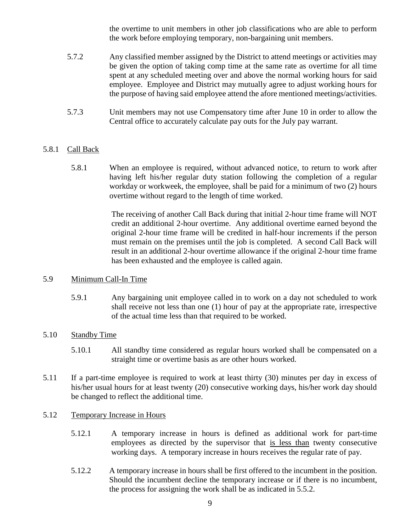the overtime to unit members in other job classifications who are able to perform the work before employing temporary, non-bargaining unit members.

- 5.7.2 Any classified member assigned by the District to attend meetings or activities may be given the option of taking comp time at the same rate as overtime for all time spent at any scheduled meeting over and above the normal working hours for said employee. Employee and District may mutually agree to adjust working hours for the purpose of having said employee attend the afore mentioned meetings/activities.
- 5.7.3 Unit members may not use Compensatory time after June 10 in order to allow the Central office to accurately calculate pay outs for the July pay warrant.

# 5.8.1 Call Back

 5.8.1 When an employee is required, without advanced notice, to return to work after having left his/her regular duty station following the completion of a regular workday or workweek, the employee, shall be paid for a minimum of two (2) hours overtime without regard to the length of time worked.

> The receiving of another Call Back during that initial 2-hour time frame will NOT credit an additional 2-hour overtime. Any additional overtime earned beyond the original 2-hour time frame will be credited in half-hour increments if the person must remain on the premises until the job is completed. A second Call Back will result in an additional 2-hour overtime allowance if the original 2-hour time frame has been exhausted and the employee is called again.

#### 5.9 Minimum Call-In Time

5.9.1 Any bargaining unit employee called in to work on a day not scheduled to work shall receive not less than one (1) hour of pay at the appropriate rate, irrespective of the actual time less than that required to be worked.

# 5.10 Standby Time

- 5.10.1 All standby time considered as regular hours worked shall be compensated on a straight time or overtime basis as are other hours worked.
- 5.11 If a part-time employee is required to work at least thirty (30) minutes per day in excess of his/her usual hours for at least twenty (20) consecutive working days, his/her work day should be changed to reflect the additional time.

#### 5.12 Temporary Increase in Hours

- 5.12.1 A temporary increase in hours is defined as additional work for part-time employees as directed by the supervisor that is less than twenty consecutive working days. A temporary increase in hours receives the regular rate of pay.
- 5.12.2 A temporary increase in hours shall be first offered to the incumbent in the position. Should the incumbent decline the temporary increase or if there is no incumbent, the process for assigning the work shall be as indicated in 5.5.2.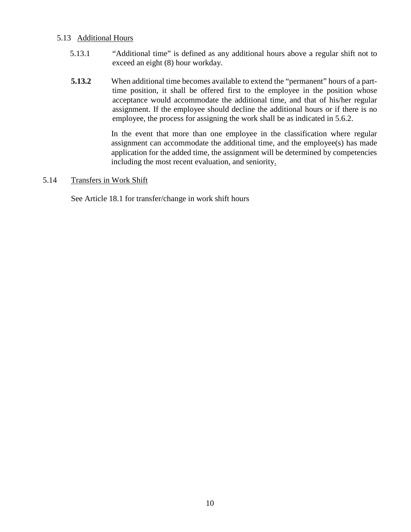#### 5.13 Additional Hours

- 5.13.1 "Additional time" is defined as any additional hours above a regular shift not to exceed an eight (8) hour workday.
- **5.13.2** When additional time becomes available to extend the "permanent" hours of a parttime position, it shall be offered first to the employee in the position whose acceptance would accommodate the additional time, and that of his/her regular assignment. If the employee should decline the additional hours or if there is no employee, the process for assigning the work shall be as indicated in 5.6.2.

In the event that more than one employee in the classification where regular assignment can accommodate the additional time, and the employee(s) has made application for the added time, the assignment will be determined by competencies including the most recent evaluation, and seniority.

#### 5.14 Transfers in Work Shift

See Article 18.1 for transfer/change in work shift hours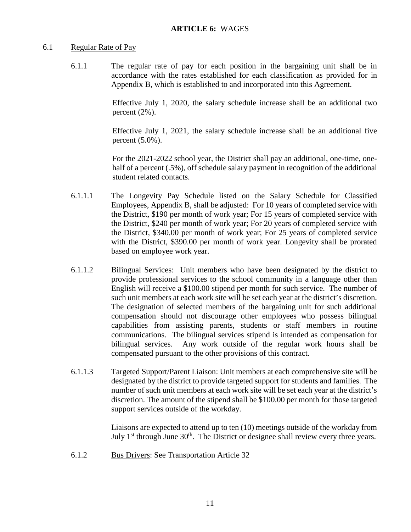#### <span id="page-13-0"></span>6.1 Regular Rate of Pay

6.1.1 The regular rate of pay for each position in the bargaining unit shall be in accordance with the rates established for each classification as provided for in Appendix B, which is established to and incorporated into this Agreement.

> Effective July 1, 2020, the salary schedule increase shall be an additional two percent (2%).

> Effective July 1, 2021, the salary schedule increase shall be an additional five percent (5.0%).

> For the 2021-2022 school year, the District shall pay an additional, one-time, onehalf of a percent (.5%), off schedule salary payment in recognition of the additional student related contacts.

- 6.1.1.1 The Longevity Pay Schedule listed on the Salary Schedule for Classified Employees, Appendix B, shall be adjusted: For 10 years of completed service with the District, \$190 per month of work year; For 15 years of completed service with the District, \$240 per month of work year; For 20 years of completed service with the District, \$340.00 per month of work year; For 25 years of completed service with the District, \$390.00 per month of work year. Longevity shall be prorated based on employee work year.
- 6.1.1.2 Bilingual Services: Unit members who have been designated by the district to provide professional services to the school community in a language other than English will receive a \$100.00 stipend per month for such service. The number of such unit members at each work site will be set each year at the district's discretion. The designation of selected members of the bargaining unit for such additional compensation should not discourage other employees who possess bilingual capabilities from assisting parents, students or staff members in routine communications. The bilingual services stipend is intended as compensation for bilingual services. Any work outside of the regular work hours shall be compensated pursuant to the other provisions of this contract.
- 6.1.1.3 Targeted Support/Parent Liaison: Unit members at each comprehensive site will be designated by the district to provide targeted support for students and families. The number of such unit members at each work site will be set each year at the district's discretion. The amount of the stipend shall be \$100.00 per month for those targeted support services outside of the workday.

Liaisons are expected to attend up to ten (10) meetings outside of the workday from July  $1<sup>st</sup>$  through June  $30<sup>th</sup>$ . The District or designee shall review every three years.

6.1.2 Bus Drivers: See Transportation Article 32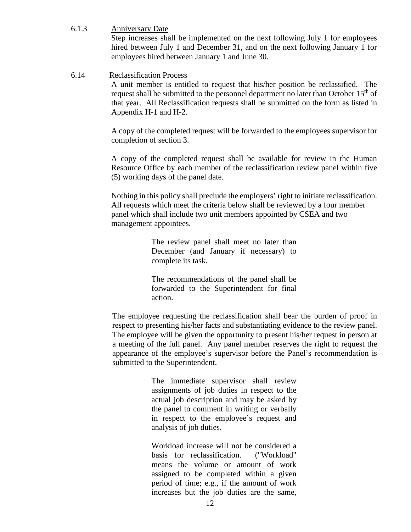6.1.3 Anniversary Date

Step increases shall be implemented on the next following July 1 for employees hired between July 1 and December 31, and on the next following January 1 for employees hired between January 1 and June 30.

#### 6.14 Reclassification Process

A unit member is entitled to request that his/her position be reclassified. The request shall be submitted to the personnel department no later than October  $15<sup>th</sup>$  of that year. All Reclassification requests shall be submitted on the form as listed in Appendix H-1 and H-2.

A copy of the completed request will be forwarded to the employees supervisor for completion of section 3.

A copy of the completed request shall be available for review in the Human Resource Office by each member of the reclassification review panel within five (5) working days of the panel date.

Nothing in this policy shall preclude the employers' right to initiate reclassification. All requests which meet the criteria below shall be reviewed by a four member panel which shall include two unit members appointed by CSEA and two management appointees.

> The review panel shall meet no later than December (and January if necessary) to complete its task.

> The recommendations of the panel shall be forwarded to the Superintendent for final action.

 The employee requesting the reclassification shall bear the burden of proof in respect to presenting his/her facts and substantiating evidence to the review panel. The employee will be given the opportunity to present his/her request in person at a meeting of the full panel. Any panel member reserves the right to request the appearance of the employee's supervisor before the Panel's recommendation is submitted to the Superintendent.

> The immediate supervisor shall review assignments of job duties in respect to the actual job description and may be asked by the panel to comment in writing or verbally in respect to the employee's request and analysis of job duties.

> Workload increase will not be considered a basis for reclassification. ("Workload" means the volume or amount of work assigned to be completed within a given period of time; e.g., if the amount of work increases but the job duties are the same,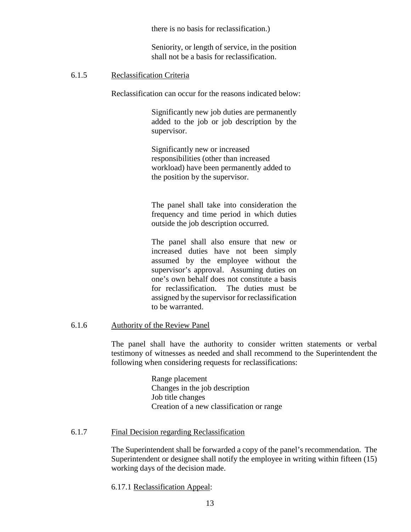there is no basis for reclassification.)

Seniority, or length of service, in the position shall not be a basis for reclassification.

#### 6.1.5 Reclassification Criteria

Reclassification can occur for the reasons indicated below:

Significantly new job duties are permanently added to the job or job description by the supervisor.

Significantly new or increased responsibilities (other than increased workload) have been permanently added to the position by the supervisor.

The panel shall take into consideration the frequency and time period in which duties outside the job description occurred.

The panel shall also ensure that new or increased duties have not been simply assumed by the employee without the supervisor's approval. Assuming duties on one's own behalf does not constitute a basis for reclassification. The duties must be assigned by the supervisor for reclassification to be warranted.

## 6.1.6 Authority of the Review Panel

The panel shall have the authority to consider written statements or verbal testimony of witnesses as needed and shall recommend to the Superintendent the following when considering requests for reclassifications:

> Range placement Changes in the job description Job title changes Creation of a new classification or range

#### 6.1.7 Final Decision regarding Reclassification

The Superintendent shall be forwarded a copy of the panel's recommendation. The Superintendent or designee shall notify the employee in writing within fifteen (15) working days of the decision made.

6.17.1 Reclassification Appeal: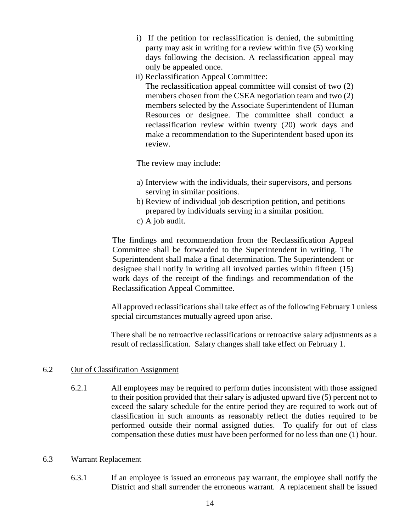- i) If the petition for reclassification is denied, the submitting party may ask in writing for a review within five (5) working days following the decision. A reclassification appeal may only be appealed once.
- ii) Reclassification Appeal Committee:
	- The reclassification appeal committee will consist of two (2) members chosen from the CSEA negotiation team and two (2) members selected by the Associate Superintendent of Human Resources or designee. The committee shall conduct a reclassification review within twenty (20) work days and make a recommendation to the Superintendent based upon its review.

The review may include:

- a) Interview with the individuals, their supervisors, and persons serving in similar positions.
- b) Review of individual job description petition, and petitions prepared by individuals serving in a similar position.
- c) A job audit.

The findings and recommendation from the Reclassification Appeal Committee shall be forwarded to the Superintendent in writing. The Superintendent shall make a final determination. The Superintendent or designee shall notify in writing all involved parties within fifteen (15) work days of the receipt of the findings and recommendation of the Reclassification Appeal Committee.

All approved reclassifications shall take effect as of the following February 1 unless special circumstances mutually agreed upon arise.

There shall be no retroactive reclassifications or retroactive salary adjustments as a result of reclassification. Salary changes shall take effect on February 1.

#### 6.2 Out of Classification Assignment

 6.2.1 All employees may be required to perform duties inconsistent with those assigned to their position provided that their salary is adjusted upward five (5) percent not to exceed the salary schedule for the entire period they are required to work out of classification in such amounts as reasonably reflect the duties required to be performed outside their normal assigned duties. To qualify for out of class compensation these duties must have been performed for no less than one (1) hour.

#### 6.3 Warrant Replacement

6.3.1 If an employee is issued an erroneous pay warrant, the employee shall notify the District and shall surrender the erroneous warrant. A replacement shall be issued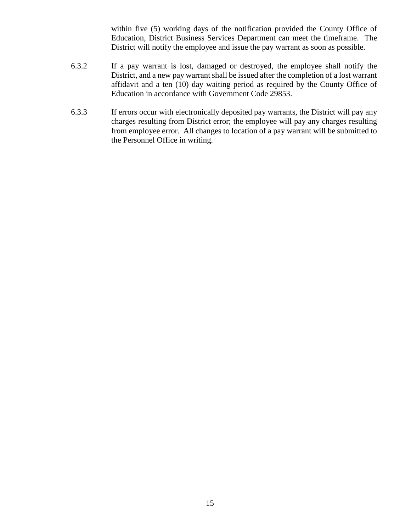within five (5) working days of the notification provided the County Office of Education, District Business Services Department can meet the timeframe. The District will notify the employee and issue the pay warrant as soon as possible.

- 6.3.2 If a pay warrant is lost, damaged or destroyed, the employee shall notify the District, and a new pay warrant shall be issued after the completion of a lost warrant affidavit and a ten (10) day waiting period as required by the County Office of Education in accordance with Government Code 29853.
- 6.3.3 If errors occur with electronically deposited pay warrants, the District will pay any charges resulting from District error; the employee will pay any charges resulting from employee error. All changes to location of a pay warrant will be submitted to the Personnel Office in writing.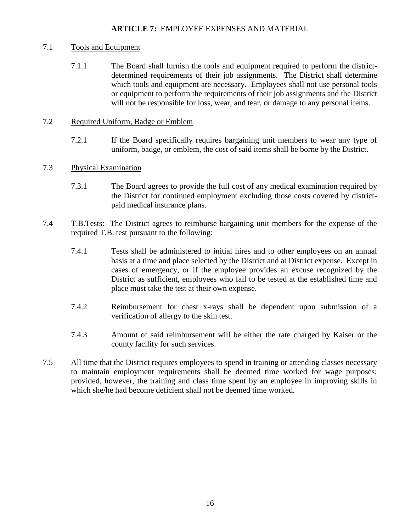## **ARTICLE 7:** EMPLOYEE EXPENSES AND MATERIAL

## <span id="page-18-0"></span>7.1 Tools and Equipment

7.1.1 The Board shall furnish the tools and equipment required to perform the districtdetermined requirements of their job assignments. The District shall determine which tools and equipment are necessary. Employees shall not use personal tools or equipment to perform the requirements of their job assignments and the District will not be responsible for loss, wear, and tear, or damage to any personal items.

## 7.2 Required Uniform, Badge or Emblem

7.2.1 If the Board specifically requires bargaining unit members to wear any type of uniform, badge, or emblem, the cost of said items shall be borne by the District.

# 7.3 Physical Examination

- 7.3.1 The Board agrees to provide the full cost of any medical examination required by the District for continued employment excluding those costs covered by districtpaid medical insurance plans.
- 7.4 T.B.Tests: The District agrees to reimburse bargaining unit members for the expense of the required T.B. test pursuant to the following:
	- 7.4.1 Tests shall be administered to initial hires and to other employees on an annual basis at a time and place selected by the District and at District expense. Except in cases of emergency, or if the employee provides an excuse recognized by the District as sufficient, employees who fail to be tested at the established time and place must take the test at their own expense.
	- 7.4.2 Reimbursement for chest x-rays shall be dependent upon submission of a verification of allergy to the skin test.
	- 7.4.3 Amount of said reimbursement will be either the rate charged by Kaiser or the county facility for such services.
- 7.5 All time that the District requires employees to spend in training or attending classes necessary to maintain employment requirements shall be deemed time worked for wage purposes; provided, however, the training and class time spent by an employee in improving skills in which she/he had become deficient shall not be deemed time worked.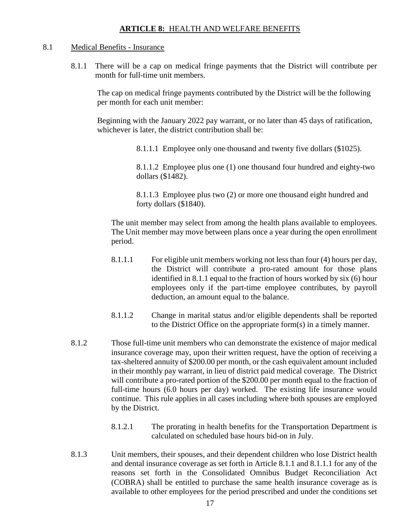#### **ARTICLE 8:** HEALTH AND WELFARE BENEFITS

#### <span id="page-19-0"></span>8.1 Medical Benefits - Insurance

8.1.1 There will be a cap on medical fringe payments that the District will contribute per month for full-time unit members.

The cap on medical fringe payments contributed by the District will be the following per month for each unit member:

 Beginning with the January 2022 pay warrant, or no later than 45 days of ratification, whichever is later, the district contribution shall be:

8.1.1.1 Employee only one thousand and twenty five dollars (\$1025).

 8.1.1.2 Employee plus one (1) one thousand four hundred and eighty-two dollars (\$1482).

 8.1.1.3 Employee plus two (2) or more one thousand eight hundred and forty dollars (\$1840).

The unit member may select from among the health plans available to employees. The Unit member may move between plans once a year during the open enrollment period.

- 8.1.1.1 For eligible unit members working not less than four (4) hours per day, the District will contribute a pro-rated amount for those plans identified in 8.1.1 equal to the fraction of hours worked by six (6) hour employees only if the part-time employee contributes, by payroll deduction, an amount equal to the balance.
- 8.1.1.2 Change in marital status and/or eligible dependents shall be reported to the District Office on the appropriate form(s) in a timely manner.
- 8.1.2 Those full-time unit members who can demonstrate the existence of major medical insurance coverage may, upon their written request, have the option of receiving a tax-sheltered annuity of \$200.00 per month, or the cash equivalent amount included in their monthly pay warrant, in lieu of district paid medical coverage. The District will contribute a pro-rated portion of the \$200.00 per month equal to the fraction of full-time hours (6.0 hours per day) worked. The existing life insurance would continue. This rule applies in all cases including where both spouses are employed by the District.
	- 8.1.2.1 The prorating in health benefits for the Transportation Department is calculated on scheduled base hours bid-on in July.
- 8.1.3 Unit members, their spouses, and their dependent children who lose District health and dental insurance coverage as set forth in Article 8.1.1 and 8.1.1.1 for any of the reasons set forth in the Consolidated Omnibus Budget Reconciliation Act (COBRA) shall be entitled to purchase the same health insurance coverage as is available to other employees for the period prescribed and under the conditions set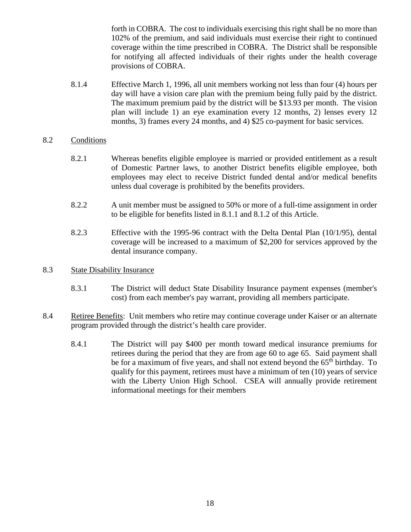forth in COBRA. The cost to individuals exercising this right shall be no more than 102% of the premium, and said individuals must exercise their right to continued coverage within the time prescribed in COBRA. The District shall be responsible for notifying all affected individuals of their rights under the health coverage provisions of COBRA.

8.1.4 Effective March 1, 1996, all unit members working not less than four (4) hours per day will have a vision care plan with the premium being fully paid by the district. The maximum premium paid by the district will be \$13.93 per month. The vision plan will include 1) an eye examination every 12 months, 2) lenses every 12 months, 3) frames every 24 months, and 4) \$25 co-payment for basic services.

## 8.2 Conditions

- 8.2.1 Whereas benefits eligible employee is married or provided entitlement as a result of Domestic Partner laws, to another District benefits eligible employee, both employees may elect to receive District funded dental and/or medical benefits unless dual coverage is prohibited by the benefits providers.
- 8.2.2 A unit member must be assigned to 50% or more of a full-time assignment in order to be eligible for benefits listed in 8.1.1 and 8.1.2 of this Article.
- 8.2.3 Effective with the 1995-96 contract with the Delta Dental Plan (10/1/95), dental coverage will be increased to a maximum of \$2,200 for services approved by the dental insurance company.

#### 8.3 State Disability Insurance

- 8.3.1 The District will deduct State Disability Insurance payment expenses (member's cost) from each member's pay warrant, providing all members participate.
- 8.4 Retiree Benefits: Unit members who retire may continue coverage under Kaiser or an alternate program provided through the district's health care provider.
	- 8.4.1 The District will pay \$400 per month toward medical insurance premiums for retirees during the period that they are from age 60 to age 65. Said payment shall be for a maximum of five years, and shall not extend beyond the  $65<sup>th</sup>$  birthday. To qualify for this payment, retirees must have a minimum of ten (10) years of service with the Liberty Union High School. CSEA will annually provide retirement informational meetings for their members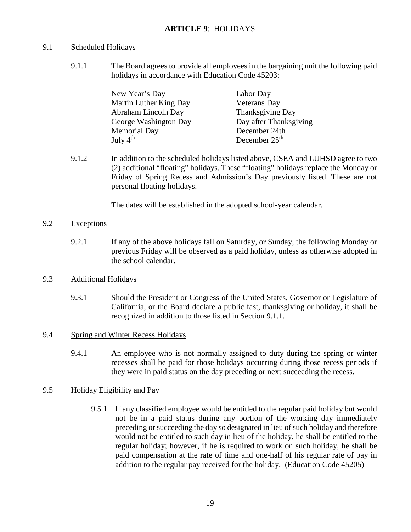# <span id="page-21-0"></span>9.1 Scheduled Holidays

9.1.1 The Board agrees to provide all employees in the bargaining unit the following paid holidays in accordance with Education Code 45203:

| New Year's Day         | Labor Day               |
|------------------------|-------------------------|
| Martin Luther King Day | <b>Veterans</b> Day     |
| Abraham Lincoln Day    | <b>Thanksgiving Day</b> |
| George Washington Day  | Day after Thanksgiving  |
| <b>Memorial Day</b>    | December 24th           |
| July $4th$             | December $25th$         |

9.1.2 In addition to the scheduled holidays listed above, CSEA and LUHSD agree to two (2) additional "floating" holidays. These "floating" holidays replace the Monday or Friday of Spring Recess and Admission's Day previously listed. These are not personal floating holidays.

The dates will be established in the adopted school-year calendar.

## 9.2 Exceptions

9.2.1 If any of the above holidays fall on Saturday, or Sunday, the following Monday or previous Friday will be observed as a paid holiday, unless as otherwise adopted in the school calendar.

# 9.3 Additional Holidays

9.3.1 Should the President or Congress of the United States, Governor or Legislature of California, or the Board declare a public fast, thanksgiving or holiday, it shall be recognized in addition to those listed in Section 9.1.1.

# 9.4 Spring and Winter Recess Holidays

9.4.1 An employee who is not normally assigned to duty during the spring or winter recesses shall be paid for those holidays occurring during those recess periods if they were in paid status on the day preceding or next succeeding the recess.

# 9.5 Holiday Eligibility and Pay

9.5.1 If any classified employee would be entitled to the regular paid holiday but would not be in a paid status during any portion of the working day immediately preceding or succeeding the day so designated in lieu of such holiday and therefore would not be entitled to such day in lieu of the holiday, he shall be entitled to the regular holiday; however, if he is required to work on such holiday, he shall be paid compensation at the rate of time and one-half of his regular rate of pay in addition to the regular pay received for the holiday. (Education Code 45205)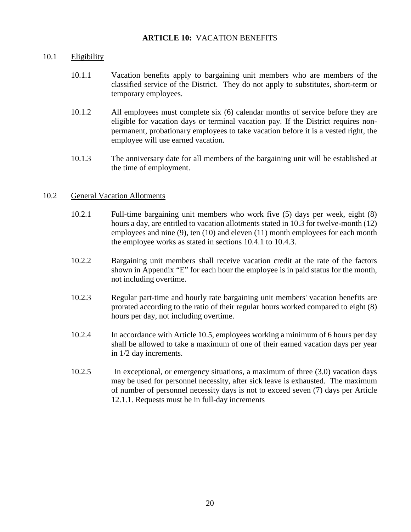#### **ARTICLE 10:** VACATION BENEFITS

#### <span id="page-22-0"></span>10.1 Eligibility

- 10.1.1 Vacation benefits apply to bargaining unit members who are members of the classified service of the District. They do not apply to substitutes, short-term or temporary employees.
- 10.1.2 All employees must complete six (6) calendar months of service before they are eligible for vacation days or terminal vacation pay. If the District requires nonpermanent, probationary employees to take vacation before it is a vested right, the employee will use earned vacation.
- 10.1.3 The anniversary date for all members of the bargaining unit will be established at the time of employment.

#### 10.2 General Vacation Allotments

- 10.2.1 Full-time bargaining unit members who work five (5) days per week, eight (8) hours a day, are entitled to vacation allotments stated in 10.3 for twelve-month (12) employees and nine (9), ten (10) and eleven (11) month employees for each month the employee works as stated in sections 10.4.1 to 10.4.3.
- 10.2.2 Bargaining unit members shall receive vacation credit at the rate of the factors shown in Appendix "E" for each hour the employee is in paid status for the month, not including overtime.
- 10.2.3 Regular part-time and hourly rate bargaining unit members' vacation benefits are prorated according to the ratio of their regular hours worked compared to eight (8) hours per day, not including overtime.
- 10.2.4 In accordance with Article 10.5, employees working a minimum of 6 hours per day shall be allowed to take a maximum of one of their earned vacation days per year in 1/2 day increments.
- 10.2.5 In exceptional, or emergency situations, a maximum of three (3.0) vacation days may be used for personnel necessity, after sick leave is exhausted. The maximum of number of personnel necessity days is not to exceed seven (7) days per Article 12.1.1. Requests must be in full-day increments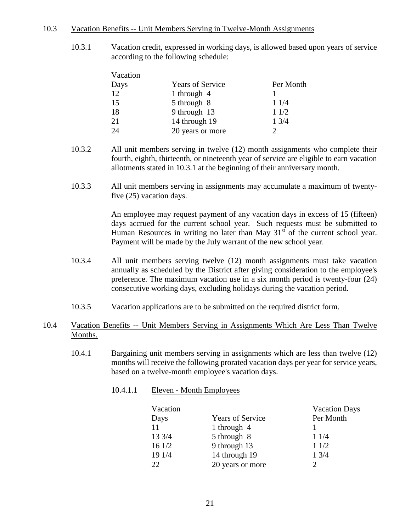#### 10.3 Vacation Benefits -- Unit Members Serving in Twelve-Month Assignments

10.3.1 Vacation credit, expressed in working days, is allowed based upon years of service according to the following schedule:

| Vacation    |                         |           |
|-------------|-------------------------|-----------|
| <u>Days</u> | <b>Years of Service</b> | Per Month |
| 12          | 1 through $4$           |           |
| 15          | 5 through 8             | 11/4      |
| 18          | 9 through 13            | 11/2      |
| 21          | 14 through 19           | 13/4      |
| 24          | 20 years or more        |           |

- 10.3.2 All unit members serving in twelve (12) month assignments who complete their fourth, eighth, thirteenth, or nineteenth year of service are eligible to earn vacation allotments stated in 10.3.1 at the beginning of their anniversary month.
- 10.3.3 All unit members serving in assignments may accumulate a maximum of twentyfive (25) vacation days.

An employee may request payment of any vacation days in excess of 15 (fifteen) days accrued for the current school year. Such requests must be submitted to Human Resources in writing no later than May  $31<sup>st</sup>$  of the current school year. Payment will be made by the July warrant of the new school year.

- 10.3.4 All unit members serving twelve (12) month assignments must take vacation annually as scheduled by the District after giving consideration to the employee's preference. The maximum vacation use in a six month period is twenty-four (24) consecutive working days, excluding holidays during the vacation period.
- 10.3.5 Vacation applications are to be submitted on the required district form.

# 10.4 Vacation Benefits -- Unit Members Serving in Assignments Which Are Less Than Twelve Months.

- 10.4.1 Bargaining unit members serving in assignments which are less than twelve (12) months will receive the following prorated vacation days per year for service years, based on a twelve-month employee's vacation days.
	- 10.4.1.1 Eleven Month Employees

|                         | <b>Vacation Days</b>        |
|-------------------------|-----------------------------|
| <b>Years of Service</b> | Per Month                   |
| 1 through 4             |                             |
| 5 through 8             | 11/4                        |
| 9 through 13            | 11/2                        |
| 14 through 19           | 13/4                        |
| 20 years or more        | $\mathcal{D}_{\mathcal{L}}$ |
|                         |                             |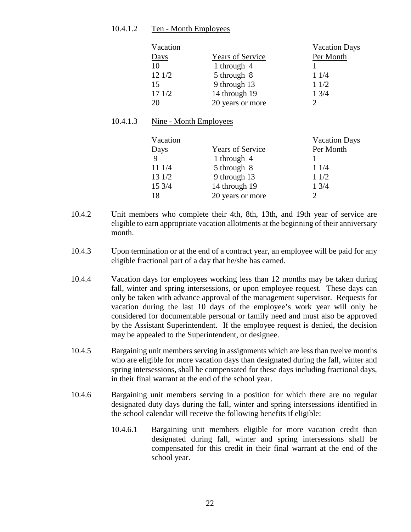#### 10.4.1.2 Ten - Month Employees

| Vacation |                         | <b>Vacation Days</b> |
|----------|-------------------------|----------------------|
| Days     | <b>Years of Service</b> | Per Month            |
| 10       | 1 through $4$           |                      |
| 121/2    | 5 through 8             | 11/4                 |
| 15       | 9 through 13            | 11/2                 |
| 171/2    | 14 through 19           | 13/4                 |
| 20       | 20 years or more        | C                    |

## 10.4.1.3 Nine - Month Employees

| Vacation    |                         | <b>Vacation Days</b> |
|-------------|-------------------------|----------------------|
| Days        | <b>Years of Service</b> | Per Month            |
| $\mathbf Q$ | 1 through $4$           |                      |
| 11 1/4      | 5 through 8             | 11/4                 |
| 131/2       | 9 through 13            | 11/2                 |
| 15 3/4      | 14 through 19           | 13/4                 |
| 18          | 20 years or more        |                      |

- 10.4.2 Unit members who complete their 4th, 8th, 13th, and 19th year of service are eligible to earn appropriate vacation allotments at the beginning of their anniversary month.
- 10.4.3 Upon termination or at the end of a contract year, an employee will be paid for any eligible fractional part of a day that he/she has earned.
- 10.4.4 Vacation days for employees working less than 12 months may be taken during fall, winter and spring intersessions, or upon employee request. These days can only be taken with advance approval of the management supervisor. Requests for vacation during the last 10 days of the employee's work year will only be considered for documentable personal or family need and must also be approved by the Assistant Superintendent. If the employee request is denied, the decision may be appealed to the Superintendent, or designee.
- 10.4.5 Bargaining unit members serving in assignments which are less than twelve months who are eligible for more vacation days than designated during the fall, winter and spring intersessions, shall be compensated for these days including fractional days, in their final warrant at the end of the school year.
- 10.4.6 Bargaining unit members serving in a position for which there are no regular designated duty days during the fall, winter and spring intersessions identified in the school calendar will receive the following benefits if eligible:
	- 10.4.6.1 Bargaining unit members eligible for more vacation credit than designated during fall, winter and spring intersessions shall be compensated for this credit in their final warrant at the end of the school year.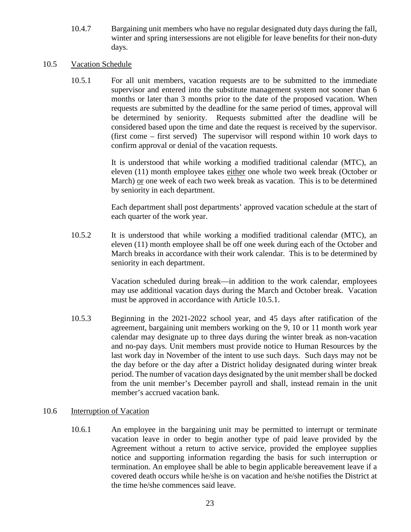10.4.7 Bargaining unit members who have no regular designated duty days during the fall, winter and spring intersessions are not eligible for leave benefits for their non-duty days.

#### 10.5 Vacation Schedule

10.5.1 For all unit members, vacation requests are to be submitted to the immediate supervisor and entered into the substitute management system not sooner than 6 months or later than 3 months prior to the date of the proposed vacation. When requests are submitted by the deadline for the same period of times, approval will be determined by seniority. Requests submitted after the deadline will be considered based upon the time and date the request is received by the supervisor. (first come – first served) The supervisor will respond within 10 work days to confirm approval or denial of the vacation requests.

> It is understood that while working a modified traditional calendar (MTC), an eleven (11) month employee takes either one whole two week break (October or March) or one week of each two week break as vacation. This is to be determined by seniority in each department.

> Each department shall post departments' approved vacation schedule at the start of each quarter of the work year.

10.5.2 It is understood that while working a modified traditional calendar (MTC), an eleven (11) month employee shall be off one week during each of the October and March breaks in accordance with their work calendar. This is to be determined by seniority in each department.

> Vacation scheduled during break—in addition to the work calendar, employees may use additional vacation days during the March and October break. Vacation must be approved in accordance with Article 10.5.1.

10.5.3 Beginning in the 2021-2022 school year, and 45 days after ratification of the agreement, bargaining unit members working on the 9, 10 or 11 month work year calendar may designate up to three days during the winter break as non-vacation and no-pay days. Unit members must provide notice to Human Resources by the last work day in November of the intent to use such days. Such days may not be the day before or the day after a District holiday designated during winter break period. The number of vacation days designated by the unit member shall be docked from the unit member's December payroll and shall, instead remain in the unit member's accrued vacation bank.

#### 10.6 Interruption of Vacation

10.6.1 An employee in the bargaining unit may be permitted to interrupt or terminate vacation leave in order to begin another type of paid leave provided by the Agreement without a return to active service, provided the employee supplies notice and supporting information regarding the basis for such interruption or termination. An employee shall be able to begin applicable bereavement leave if a covered death occurs while he/she is on vacation and he/she notifies the District at the time he/she commences said leave.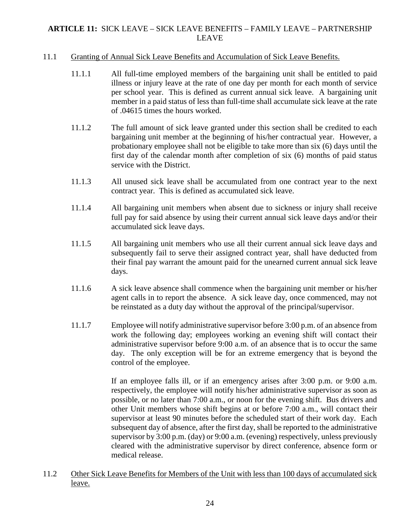# <span id="page-26-0"></span>**ARTICLE 11:** SICK LEAVE – SICK LEAVE BENEFITS – FAMILY LEAVE – PARTNERSHIP LEAVE

#### 11.1 Granting of Annual Sick Leave Benefits and Accumulation of Sick Leave Benefits.

- 11.1.1 All full-time employed members of the bargaining unit shall be entitled to paid illness or injury leave at the rate of one day per month for each month of service per school year. This is defined as current annual sick leave. A bargaining unit member in a paid status of less than full-time shall accumulate sick leave at the rate of .04615 times the hours worked.
- 11.1.2 The full amount of sick leave granted under this section shall be credited to each bargaining unit member at the beginning of his/her contractual year. However, a probationary employee shall not be eligible to take more than six (6) days until the first day of the calendar month after completion of six (6) months of paid status service with the District.
- 11.1.3 All unused sick leave shall be accumulated from one contract year to the next contract year. This is defined as accumulated sick leave.
- 11.1.4 All bargaining unit members when absent due to sickness or injury shall receive full pay for said absence by using their current annual sick leave days and/or their accumulated sick leave days.
- 11.1.5 All bargaining unit members who use all their current annual sick leave days and subsequently fail to serve their assigned contract year, shall have deducted from their final pay warrant the amount paid for the unearned current annual sick leave days.
- 11.1.6 A sick leave absence shall commence when the bargaining unit member or his/her agent calls in to report the absence. A sick leave day, once commenced, may not be reinstated as a duty day without the approval of the principal/supervisor.
- 11.1.7 Employee will notify administrative supervisor before 3:00 p.m. of an absence from work the following day; employees working an evening shift will contact their administrative supervisor before 9:00 a.m. of an absence that is to occur the same day. The only exception will be for an extreme emergency that is beyond the control of the employee.

If an employee falls ill, or if an emergency arises after 3:00 p.m. or 9:00 a.m. respectively, the employee will notify his/her administrative supervisor as soon as possible, or no later than 7:00 a.m., or noon for the evening shift. Bus drivers and other Unit members whose shift begins at or before 7:00 a.m., will contact their supervisor at least 90 minutes before the scheduled start of their work day.Each subsequent day of absence, after the first day, shall be reported to the administrative supervisor by 3:00 p.m. (day) or 9:00 a.m. (evening) respectively, unless previously cleared with the administrative supervisor by direct conference, absence form or medical release.

11.2 Other Sick Leave Benefits for Members of the Unit with less than 100 days of accumulated sick leave.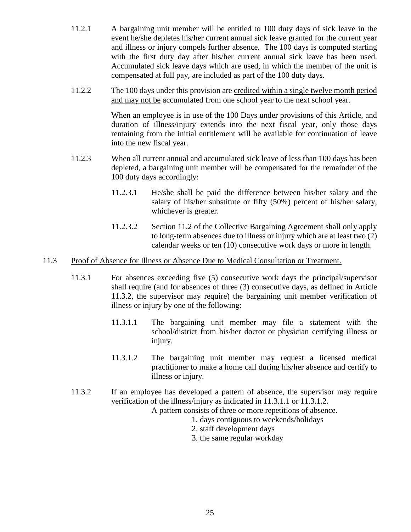- 11.2.1 A bargaining unit member will be entitled to 100 duty days of sick leave in the event he/she depletes his/her current annual sick leave granted for the current year and illness or injury compels further absence. The 100 days is computed starting with the first duty day after his/her current annual sick leave has been used. Accumulated sick leave days which are used, in which the member of the unit is compensated at full pay, are included as part of the 100 duty days.
- 11.2.2 The 100 days under this provision are credited within a single twelve month period and may not be accumulated from one school year to the next school year.

When an employee is in use of the 100 Days under provisions of this Article, and duration of illness/injury extends into the next fiscal year, only those days remaining from the initial entitlement will be available for continuation of leave into the new fiscal year.

- 11.2.3 When all current annual and accumulated sick leave of less than 100 days has been depleted, a bargaining unit member will be compensated for the remainder of the 100 duty days accordingly:
	- 11.2.3.1 He/she shall be paid the difference between his/her salary and the salary of his/her substitute or fifty (50%) percent of his/her salary, whichever is greater.
	- 11.2.3.2 Section 11.2 of the Collective Bargaining Agreement shall only apply to long-term absences due to illness or injury which are at least two (2) calendar weeks or ten (10) consecutive work days or more in length.

#### 11.3 Proof of Absence for Illness or Absence Due to Medical Consultation or Treatment.

- 11.3.1 For absences exceeding five (5) consecutive work days the principal/supervisor shall require (and for absences of three (3) consecutive days, as defined in Article 11.3.2, the supervisor may require) the bargaining unit member verification of illness or injury by one of the following:
	- 11.3.1.1 The bargaining unit member may file a statement with the school/district from his/her doctor or physician certifying illness or injury.
	- 11.3.1.2 The bargaining unit member may request a licensed medical practitioner to make a home call during his/her absence and certify to illness or injury.
- 11.3.2 If an employee has developed a pattern of absence, the supervisor may require verification of the illness/injury as indicated in 11.3.1.1 or 11.3.1.2.

A pattern consists of three or more repetitions of absence.

- 1. days contiguous to weekends/holidays
- 2. staff development days
- 3. the same regular workday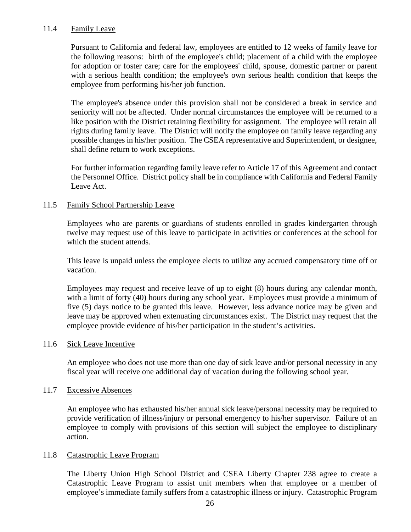#### 11.4 Family Leave

Pursuant to California and federal law, employees are entitled to 12 weeks of family leave for the following reasons: birth of the employee's child; placement of a child with the employee for adoption or foster care; care for the employees' child, spouse, domestic partner or parent with a serious health condition; the employee's own serious health condition that keeps the employee from performing his/her job function.

The employee's absence under this provision shall not be considered a break in service and seniority will not be affected. Under normal circumstances the employee will be returned to a like position with the District retaining flexibility for assignment. The employee will retain all rights during family leave. The District will notify the employee on family leave regarding any possible changes in his/her position. The CSEA representative and Superintendent, or designee, shall define return to work exceptions.

For further information regarding family leave refer to Article 17 of this Agreement and contact the Personnel Office. District policy shall be in compliance with California and Federal Family Leave Act.

#### 11.5 Family School Partnership Leave

Employees who are parents or guardians of students enrolled in grades kindergarten through twelve may request use of this leave to participate in activities or conferences at the school for which the student attends.

This leave is unpaid unless the employee elects to utilize any accrued compensatory time off or vacation.

Employees may request and receive leave of up to eight (8) hours during any calendar month, with a limit of forty (40) hours during any school year. Employees must provide a minimum of five (5) days notice to be granted this leave. However, less advance notice may be given and leave may be approved when extenuating circumstances exist. The District may request that the employee provide evidence of his/her participation in the student's activities.

#### 11.6 Sick Leave Incentive

An employee who does not use more than one day of sick leave and/or personal necessity in any fiscal year will receive one additional day of vacation during the following school year.

#### 11.7 Excessive Absences

An employee who has exhausted his/her annual sick leave/personal necessity may be required to provide verification of illness/injury or personal emergency to his/her supervisor. Failure of an employee to comply with provisions of this section will subject the employee to disciplinary action.

#### 11.8 Catastrophic Leave Program

The Liberty Union High School District and CSEA Liberty Chapter 238 agree to create a Catastrophic Leave Program to assist unit members when that employee or a member of employee's immediate family suffers from a catastrophic illness or injury. Catastrophic Program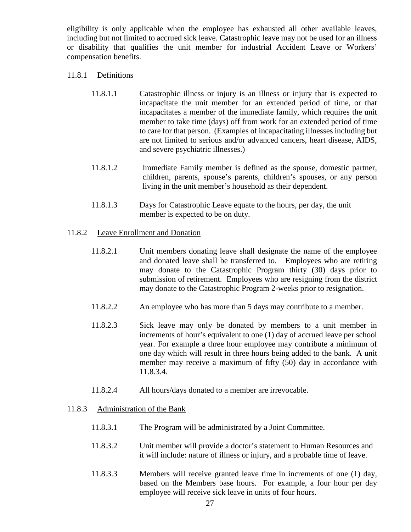eligibility is only applicable when the employee has exhausted all other available leaves, including but not limited to accrued sick leave. Catastrophic leave may not be used for an illness or disability that qualifies the unit member for industrial Accident Leave or Workers' compensation benefits.

## 11.8.1 Definitions

- 11.8.1.1 Catastrophic illness or injury is an illness or injury that is expected to incapacitate the unit member for an extended period of time, or that incapacitates a member of the immediate family, which requires the unit member to take time (days) off from work for an extended period of time to care for that person. (Examples of incapacitating illnesses including but are not limited to serious and/or advanced cancers, heart disease, AIDS, and severe psychiatric illnesses.)
- 11.8.1.2 Immediate Family member is defined as the spouse, domestic partner, children, parents, spouse's parents, children's spouses, or any person living in the unit member's household as their dependent.
- 11.8.1.3 Days for Catastrophic Leave equate to the hours, per day, the unit member is expected to be on duty.

## 11.8.2 Leave Enrollment and Donation

- 11.8.2.1 Unit members donating leave shall designate the name of the employee and donated leave shall be transferred to. Employees who are retiring may donate to the Catastrophic Program thirty (30) days prior to submission of retirement. Employees who are resigning from the district may donate to the Catastrophic Program 2-weeks prior to resignation.
- 11.8.2.2 An employee who has more than 5 days may contribute to a member.
- 11.8.2.3 Sick leave may only be donated by members to a unit member in increments of hour's equivalent to one (1) day of accrued leave per school year. For example a three hour employee may contribute a minimum of one day which will result in three hours being added to the bank. A unit member may receive a maximum of fifty (50) day in accordance with 11.8.3.4.
- 11.8.2.4 All hours/days donated to a member are irrevocable.

# 11.8.3 Administration of the Bank

- 11.8.3.1 The Program will be administrated by a Joint Committee.
- 11.8.3.2 Unit member will provide a doctor's statement to Human Resources and it will include: nature of illness or injury, and a probable time of leave.
- 11.8.3.3 Members will receive granted leave time in increments of one (1) day, based on the Members base hours. For example, a four hour per day employee will receive sick leave in units of four hours.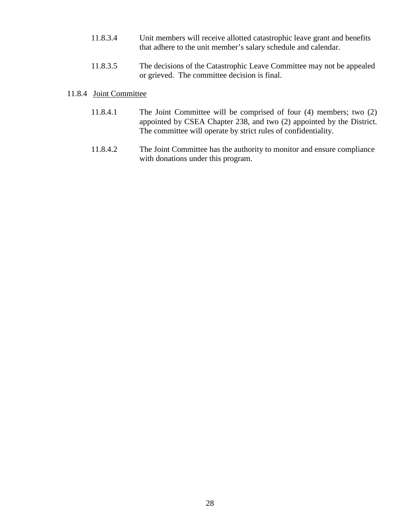- 11.8.3.4 Unit members will receive allotted catastrophic leave grant and benefits that adhere to the unit member's salary schedule and calendar.
- 11.8.3.5 The decisions of the Catastrophic Leave Committee may not be appealed or grieved. The committee decision is final.

#### 11.8.4 Joint Committee

- 11.8.4.1 The Joint Committee will be comprised of four (4) members; two (2) appointed by CSEA Chapter 238, and two (2) appointed by the District. The committee will operate by strict rules of confidentiality.
- 11.8.4.2 The Joint Committee has the authority to monitor and ensure compliance with donations under this program.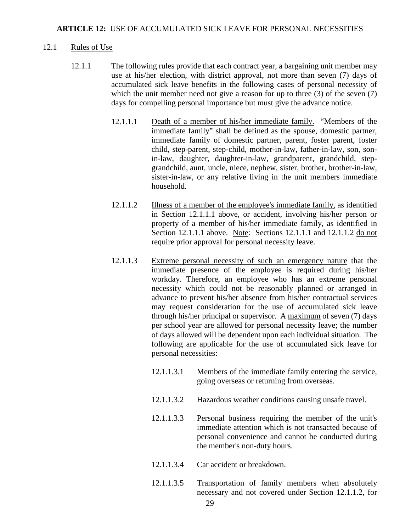#### <span id="page-31-0"></span>12.1 Rules of Use

- 12.1.1 The following rules provide that each contract year, a bargaining unit member may use at his/her election, with district approval, not more than seven (7) days of accumulated sick leave benefits in the following cases of personal necessity of which the unit member need not give a reason for up to three (3) of the seven (7) days for compelling personal importance but must give the advance notice.
	- 12.1.1.1 Death of a member of his/her immediate family. "Members of the immediate family" shall be defined as the spouse, domestic partner, immediate family of domestic partner, parent, foster parent, foster child, step-parent, step-child, mother-in-law, father-in-law, son, sonin-law, daughter, daughter-in-law, grandparent, grandchild, stepgrandchild, aunt, uncle, niece, nephew, sister, brother, brother-in-law, sister-in-law, or any relative living in the unit members immediate household.
	- 12.1.1.2 Illness of a member of the employee's immediate family, as identified in Section 12.1.1.1 above, or accident, involving his/her person or property of a member of his/her immediate family, as identified in Section 12.1.1.1 above. Note: Sections 12.1.1.1 and 12.1.1.2 do not require prior approval for personal necessity leave.
	- 12.1.1.3 Extreme personal necessity of such an emergency nature that the immediate presence of the employee is required during his/her workday. Therefore, an employee who has an extreme personal necessity which could not be reasonably planned or arranged in advance to prevent his/her absence from his/her contractual services may request consideration for the use of accumulated sick leave through his/her principal or supervisor. A maximum of seven (7) days per school year are allowed for personal necessity leave; the number of days allowed will be dependent upon each individual situation. The following are applicable for the use of accumulated sick leave for personal necessities:
		- 12.1.1.3.1 Members of the immediate family entering the service, going overseas or returning from overseas.
		- 12.1.1.3.2 Hazardous weather conditions causing unsafe travel.
		- 12.1.1.3.3 Personal business requiring the member of the unit's immediate attention which is not transacted because of personal convenience and cannot be conducted during the member's non-duty hours.
		- 12.1.1.3.4 Car accident or breakdown.
		- 12.1.1.3.5 Transportation of family members when absolutely necessary and not covered under Section 12.1.1.2, for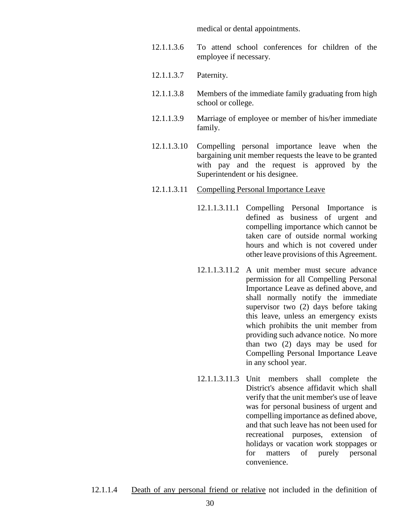medical or dental appointments.

- 12.1.1.3.6 To attend school conferences for children of the employee if necessary.
- 12.1.1.3.7 Paternity.
- 12.1.1.3.8 Members of the immediate family graduating from high school or college.
- 12.1.1.3.9 Marriage of employee or member of his/her immediate family.
- 12.1.1.3.10 Compelling personal importance leave when the bargaining unit member requests the leave to be granted with pay and the request is approved by the Superintendent or his designee.
- 12.1.1.3.11 Compelling Personal Importance Leave
	- 12.1.1.3.11.1 Compelling Personal Importance is defined as business of urgent and compelling importance which cannot be taken care of outside normal working hours and which is not covered under other leave provisions of this Agreement.
	- 12.1.1.3.11.2 A unit member must secure advance permission for all Compelling Personal Importance Leave as defined above, and shall normally notify the immediate supervisor two (2) days before taking this leave, unless an emergency exists which prohibits the unit member from providing such advance notice. No more than two (2) days may be used for Compelling Personal Importance Leave in any school year.
	- 12.1.1.3.11.3 Unit members shall complete the District's absence affidavit which shall verify that the unit member's use of leave was for personal business of urgent and compelling importance as defined above, and that such leave has not been used for recreational purposes, extension of holidays or vacation work stoppages or for matters of purely personal convenience.
- 12.1.1.4 Death of any personal friend or relative not included in the definition of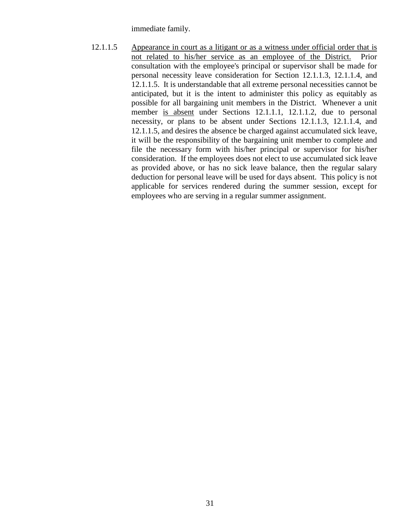immediate family.

12.1.1.5 Appearance in court as a litigant or as a witness under official order that is not related to his/her service as an employee of the District. Prior consultation with the employee's principal or supervisor shall be made for personal necessity leave consideration for Section 12.1.1.3, 12.1.1.4, and 12.1.1.5. It is understandable that all extreme personal necessities cannot be anticipated, but it is the intent to administer this policy as equitably as possible for all bargaining unit members in the District. Whenever a unit member is absent under Sections 12.1.1.1, 12.1.1.2, due to personal necessity, or plans to be absent under Sections 12.1.1.3, 12.1.1.4, and 12.1.1.5, and desires the absence be charged against accumulated sick leave, it will be the responsibility of the bargaining unit member to complete and file the necessary form with his/her principal or supervisor for his/her consideration. If the employees does not elect to use accumulated sick leave as provided above, or has no sick leave balance, then the regular salary deduction for personal leave will be used for days absent. This policy is not applicable for services rendered during the summer session, except for employees who are serving in a regular summer assignment.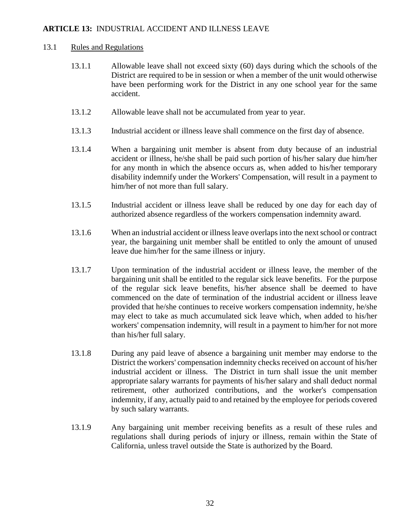# <span id="page-34-0"></span>**ARTICLE 13:** INDUSTRIAL ACCIDENT AND ILLNESS LEAVE

#### 13.1 Rules and Regulations

- 13.1.1 Allowable leave shall not exceed sixty (60) days during which the schools of the District are required to be in session or when a member of the unit would otherwise have been performing work for the District in any one school year for the same accident.
- 13.1.2 Allowable leave shall not be accumulated from year to year.
- 13.1.3 Industrial accident or illness leave shall commence on the first day of absence.
- 13.1.4 When a bargaining unit member is absent from duty because of an industrial accident or illness, he/she shall be paid such portion of his/her salary due him/her for any month in which the absence occurs as, when added to his/her temporary disability indemnify under the Workers' Compensation, will result in a payment to him/her of not more than full salary.
- 13.1.5 Industrial accident or illness leave shall be reduced by one day for each day of authorized absence regardless of the workers compensation indemnity award.
- 13.1.6 When an industrial accident or illness leave overlaps into the next school or contract year, the bargaining unit member shall be entitled to only the amount of unused leave due him/her for the same illness or injury.
- 13.1.7 Upon termination of the industrial accident or illness leave, the member of the bargaining unit shall be entitled to the regular sick leave benefits. For the purpose of the regular sick leave benefits, his/her absence shall be deemed to have commenced on the date of termination of the industrial accident or illness leave provided that he/she continues to receive workers compensation indemnity, he/she may elect to take as much accumulated sick leave which, when added to his/her workers' compensation indemnity, will result in a payment to him/her for not more than his/her full salary.
- 13.1.8 During any paid leave of absence a bargaining unit member may endorse to the District the workers' compensation indemnity checks received on account of his/her industrial accident or illness. The District in turn shall issue the unit member appropriate salary warrants for payments of his/her salary and shall deduct normal retirement, other authorized contributions, and the worker's compensation indemnity, if any, actually paid to and retained by the employee for periods covered by such salary warrants.
- 13.1.9 Any bargaining unit member receiving benefits as a result of these rules and regulations shall during periods of injury or illness, remain within the State of California, unless travel outside the State is authorized by the Board.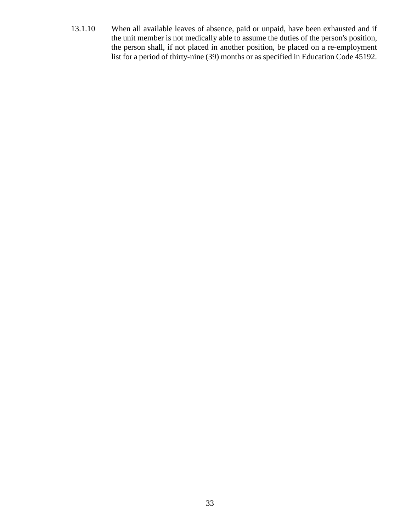13.1.10 When all available leaves of absence, paid or unpaid, have been exhausted and if the unit member is not medically able to assume the duties of the person's position, the person shall, if not placed in another position, be placed on a re-employment list for a period of thirty-nine (39) months or as specified in Education Code 45192.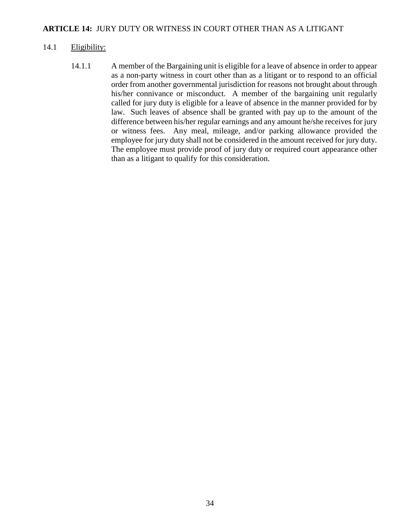# **ARTICLE 14:** JURY DUTY OR WITNESS IN COURT OTHER THAN AS A LITIGANT

#### 14.1 Eligibility:

14.1.1 A member of the Bargaining unit is eligible for a leave of absence in order to appear as a non-party witness in court other than as a litigant or to respond to an official order from another governmental jurisdiction for reasons not brought about through his/her connivance or misconduct. A member of the bargaining unit regularly called for jury duty is eligible for a leave of absence in the manner provided for by law. Such leaves of absence shall be granted with pay up to the amount of the difference between his/her regular earnings and any amount he/she receives for jury or witness fees. Any meal, mileage, and/or parking allowance provided the employee for jury duty shall not be considered in the amount received for jury duty. The employee must provide proof of jury duty or required court appearance other than as a litigant to qualify for this consideration.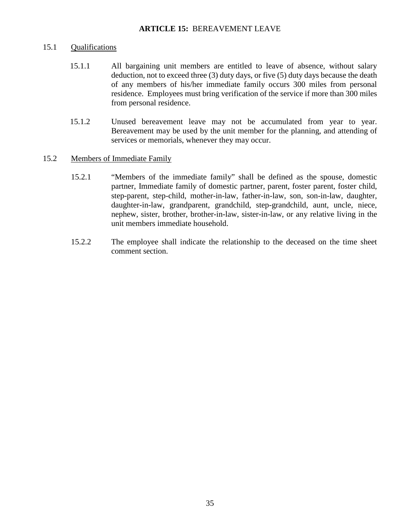## **ARTICLE 15:** BEREAVEMENT LEAVE

#### 15.1 Qualifications

- 15.1.1 All bargaining unit members are entitled to leave of absence, without salary deduction, not to exceed three (3) duty days, or five (5) duty days because the death of any members of his/her immediate family occurs 300 miles from personal residence. Employees must bring verification of the service if more than 300 miles from personal residence.
- 15.1.2 Unused bereavement leave may not be accumulated from year to year. Bereavement may be used by the unit member for the planning, and attending of services or memorials, whenever they may occur.

#### 15.2 Members of Immediate Family

- 15.2.1 "Members of the immediate family" shall be defined as the spouse, domestic partner, Immediate family of domestic partner, parent, foster parent, foster child, step-parent, step-child, mother-in-law, father-in-law, son, son-in-law, daughter, daughter-in-law, grandparent, grandchild, step-grandchild, aunt, uncle, niece, nephew, sister, brother, brother-in-law, sister-in-law, or any relative living in the unit members immediate household.
- 15.2.2 The employee shall indicate the relationship to the deceased on the time sheet comment section.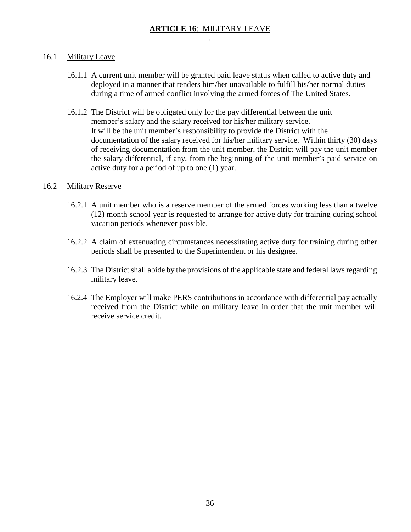# **ARTICLE 16**: MILITARY LEAVE .

# 16.1 Military Leave

- 16.1.1 A current unit member will be granted paid leave status when called to active duty and deployed in a manner that renders him/her unavailable to fulfill his/her normal duties during a time of armed conflict involving the armed forces of The United States.
- 16.1.2 The District will be obligated only for the pay differential between the unit member's salary and the salary received for his/her military service. It will be the unit member's responsibility to provide the District with the documentation of the salary received for his/her military service. Within thirty (30) days of receiving documentation from the unit member, the District will pay the unit member the salary differential, if any, from the beginning of the unit member's paid service on active duty for a period of up to one (1) year.

## 16.2 Military Reserve

- 16.2.1 A unit member who is a reserve member of the armed forces working less than a twelve (12) month school year is requested to arrange for active duty for training during school vacation periods whenever possible.
- 16.2.2 A claim of extenuating circumstances necessitating active duty for training during other periods shall be presented to the Superintendent or his designee.
- 16.2.3 The District shall abide by the provisions of the applicable state and federal lawsregarding military leave.
- 16.2.4 The Employer will make PERS contributions in accordance with differential pay actually received from the District while on military leave in order that the unit member will receive service credit.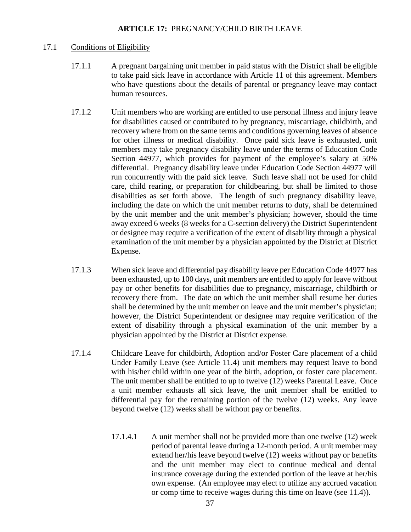#### **ARTICLE 17:** PREGNANCY/CHILD BIRTH LEAVE

#### 17.1 Conditions of Eligibility

- 17.1.1 A pregnant bargaining unit member in paid status with the District shall be eligible to take paid sick leave in accordance with Article 11 of this agreement. Members who have questions about the details of parental or pregnancy leave may contact human resources.
- 17.1.2 Unit members who are working are entitled to use personal illness and injury leave for disabilities caused or contributed to by pregnancy, miscarriage, childbirth, and recovery where from on the same terms and conditions governing leaves of absence for other illness or medical disability. Once paid sick leave is exhausted, unit members may take pregnancy disability leave under the terms of Education Code Section 44977, which provides for payment of the employee's salary at 50% differential. Pregnancy disability leave under Education Code Section 44977 will run concurrently with the paid sick leave. Such leave shall not be used for child care, child rearing, or preparation for childbearing, but shall be limited to those disabilities as set forth above. The length of such pregnancy disability leave, including the date on which the unit member returns to duty, shall be determined by the unit member and the unit member's physician; however, should the time away exceed 6 weeks (8 weeks for a C-section delivery) the District Superintendent or designee may require a verification of the extent of disability through a physical examination of the unit member by a physician appointed by the District at District Expense.
- 17.1.3 When sick leave and differential pay disability leave per Education Code 44977 has been exhausted, up to 100 days, unit members are entitled to apply for leave without pay or other benefits for disabilities due to pregnancy, miscarriage, childbirth or recovery there from. The date on which the unit member shall resume her duties shall be determined by the unit member on leave and the unit member's physician; however, the District Superintendent or designee may require verification of the extent of disability through a physical examination of the unit member by a physician appointed by the District at District expense.
- 17.1.4 Childcare Leave for childbirth, Adoption and/or Foster Care placement of a child Under Family Leave (see Article 11.4) unit members may request leave to bond with his/her child within one year of the birth, adoption, or foster care placement. The unit member shall be entitled to up to twelve (12) weeks Parental Leave. Once a unit member exhausts all sick leave, the unit member shall be entitled to differential pay for the remaining portion of the twelve (12) weeks. Any leave beyond twelve (12) weeks shall be without pay or benefits.
	- 17.1.4.1 A unit member shall not be provided more than one twelve (12) week period of parental leave during a 12-month period. A unit member may extend her/his leave beyond twelve (12) weeks without pay or benefits and the unit member may elect to continue medical and dental insurance coverage during the extended portion of the leave at her/his own expense. (An employee may elect to utilize any accrued vacation or comp time to receive wages during this time on leave (see 11.4)).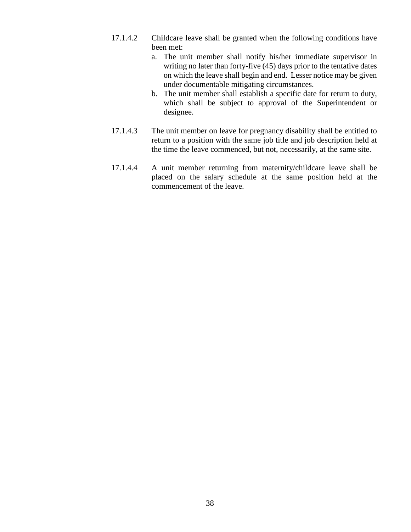- 17.1.4.2 Childcare leave shall be granted when the following conditions have been met:
	- a. The unit member shall notify his/her immediate supervisor in writing no later than forty-five (45) days prior to the tentative dates on which the leave shall begin and end. Lesser notice may be given under documentable mitigating circumstances.
	- b. The unit member shall establish a specific date for return to duty, which shall be subject to approval of the Superintendent or designee.
- 17.1.4.3 The unit member on leave for pregnancy disability shall be entitled to return to a position with the same job title and job description held at the time the leave commenced, but not, necessarily, at the same site.
- 17.1.4.4 A unit member returning from maternity/childcare leave shall be placed on the salary schedule at the same position held at the commencement of the leave.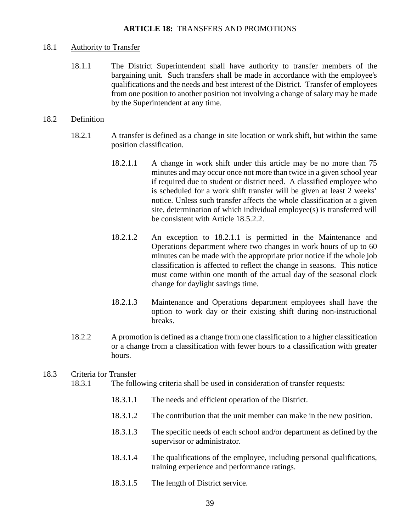#### 18.1 Authority to Transfer

18.1.1 The District Superintendent shall have authority to transfer members of the bargaining unit. Such transfers shall be made in accordance with the employee's qualifications and the needs and best interest of the District. Transfer of employees from one position to another position not involving a change of salary may be made by the Superintendent at any time.

#### 18.2 Definition

- 18.2.1 A transfer is defined as a change in site location or work shift, but within the same position classification.
	- 18.2.1.1 A change in work shift under this article may be no more than 75 minutes and may occur once not more than twice in a given school year if required due to student or district need. A classified employee who is scheduled for a work shift transfer will be given at least 2 weeks' notice. Unless such transfer affects the whole classification at a given site, determination of which individual employee(s) is transferred will be consistent with Article 18.5.2.2.
	- 18.2.1.2 An exception to 18.2.1.1 is permitted in the Maintenance and Operations department where two changes in work hours of up to 60 minutes can be made with the appropriate prior notice if the whole job classification is affected to reflect the change in seasons. This notice must come within one month of the actual day of the seasonal clock change for daylight savings time.
	- 18.2.1.3 Maintenance and Operations department employees shall have the option to work day or their existing shift during non-instructional breaks.
- 18.2.2 A promotion is defined as a change from one classification to a higher classification or a change from a classification with fewer hours to a classification with greater hours.

# 18.3 Criteria for Transfer

- 18.3.1 The following criteria shall be used in consideration of transfer requests:
	- 18.3.1.1 The needs and efficient operation of the District.
	- 18.3.1.2 The contribution that the unit member can make in the new position.
	- 18.3.1.3 The specific needs of each school and/or department as defined by the supervisor or administrator.
	- 18.3.1.4 The qualifications of the employee, including personal qualifications, training experience and performance ratings.
	- 18.3.1.5 The length of District service.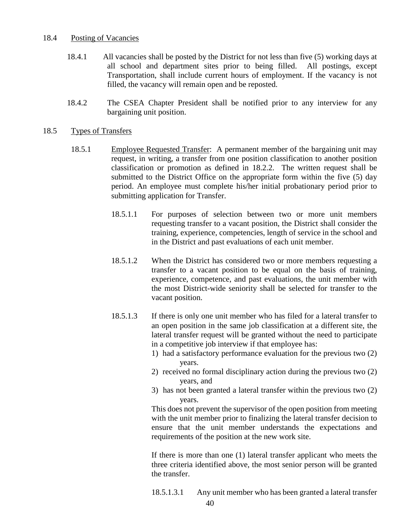#### 18.4 Posting of Vacancies

- 18.4.1 All vacancies shall be posted by the District for not less than five (5) working days at all school and department sites prior to being filled. All postings, except Transportation, shall include current hours of employment. If the vacancy is not filled, the vacancy will remain open and be reposted.
- 18.4.2 The CSEA Chapter President shall be notified prior to any interview for any bargaining unit position.

#### 18.5 Types of Transfers

- 18.5.1 Employee Requested Transfer: A permanent member of the bargaining unit may request, in writing, a transfer from one position classification to another position classification or promotion as defined in 18.2.2. The written request shall be submitted to the District Office on the appropriate form within the five (5) day period. An employee must complete his/her initial probationary period prior to submitting application for Transfer.
	- 18.5.1.1 For purposes of selection between two or more unit members requesting transfer to a vacant position, the District shall consider the training, experience, competencies, length of service in the school and in the District and past evaluations of each unit member.
	- 18.5.1.2 When the District has considered two or more members requesting a transfer to a vacant position to be equal on the basis of training, experience, competence, and past evaluations, the unit member with the most District-wide seniority shall be selected for transfer to the vacant position.
	- 18.5.1.3 If there is only one unit member who has filed for a lateral transfer to an open position in the same job classification at a different site, the lateral transfer request will be granted without the need to participate in a competitive job interview if that employee has:
		- 1) had a satisfactory performance evaluation for the previous two (2) years.
		- 2) received no formal disciplinary action during the previous two (2) years, and
		- 3) has not been granted a lateral transfer within the previous two (2) years.

This does not prevent the supervisor of the open position from meeting with the unit member prior to finalizing the lateral transfer decision to ensure that the unit member understands the expectations and requirements of the position at the new work site.

If there is more than one (1) lateral transfer applicant who meets the three criteria identified above, the most senior person will be granted the transfer.

18.5.1.3.1 Any unit member who has been granted a lateral transfer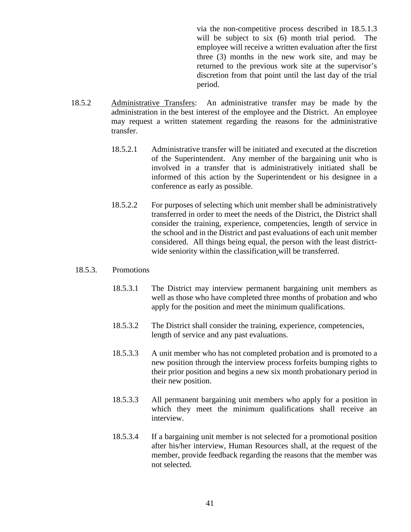via the non-competitive process described in 18.5.1.3 will be subject to six (6) month trial period. The employee will receive a written evaluation after the first three (3) months in the new work site, and may be returned to the previous work site at the supervisor's discretion from that point until the last day of the trial period.

- 18.5.2 Administrative Transfers: An administrative transfer may be made by the administration in the best interest of the employee and the District. An employee may request a written statement regarding the reasons for the administrative transfer.
	- 18.5.2.1 Administrative transfer will be initiated and executed at the discretion of the Superintendent. Any member of the bargaining unit who is involved in a transfer that is administratively initiated shall be informed of this action by the Superintendent or his designee in a conference as early as possible.
	- 18.5.2.2 For purposes of selecting which unit member shall be administratively transferred in order to meet the needs of the District, the District shall consider the training, experience, competencies, length of service in the school and in the District and past evaluations of each unit member considered. All things being equal, the person with the least districtwide seniority within the classification will be transferred.

#### 18.5.3. Promotions

- 18.5.3.1 The District may interview permanent bargaining unit members as well as those who have completed three months of probation and who apply for the position and meet the minimum qualifications.
- 18.5.3.2 The District shall consider the training, experience, competencies, length of service and any past evaluations.
- 18.5.3.3 A unit member who has not completed probation and is promoted to a new position through the interview process forfeits bumping rights to their prior position and begins a new six month probationary period in their new position.
- 18.5.3.3 All permanent bargaining unit members who apply for a position in which they meet the minimum qualifications shall receive an interview.
- 18.5.3.4 If a bargaining unit member is not selected for a promotional position after his/her interview, Human Resources shall, at the request of the member, provide feedback regarding the reasons that the member was not selected.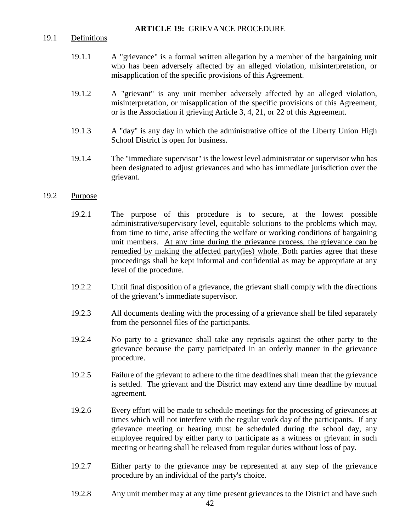#### **ARTICLE 19:** GRIEVANCE PROCEDURE

#### 19.1 Definitions

- 19.1.1 A "grievance" is a formal written allegation by a member of the bargaining unit who has been adversely affected by an alleged violation, misinterpretation, or misapplication of the specific provisions of this Agreement.
- 19.1.2 A "grievant" is any unit member adversely affected by an alleged violation, misinterpretation, or misapplication of the specific provisions of this Agreement, or is the Association if grieving Article 3, 4, 21, or 22 of this Agreement.
- 19.1.3 A "day" is any day in which the administrative office of the Liberty Union High School District is open for business.
- 19.1.4 The "immediate supervisor" is the lowest level administrator or supervisor who has been designated to adjust grievances and who has immediate jurisdiction over the grievant.

#### 19.2 Purpose

- 19.2.1 The purpose of this procedure is to secure, at the lowest possible administrative/supervisory level, equitable solutions to the problems which may, from time to time, arise affecting the welfare or working conditions of bargaining unit members. At any time during the grievance process, the grievance can be remedied by making the affected party(ies) whole. Both parties agree that these proceedings shall be kept informal and confidential as may be appropriate at any level of the procedure.
- 19.2.2 Until final disposition of a grievance, the grievant shall comply with the directions of the grievant's immediate supervisor.
- 19.2.3 All documents dealing with the processing of a grievance shall be filed separately from the personnel files of the participants.
- 19.2.4 No party to a grievance shall take any reprisals against the other party to the grievance because the party participated in an orderly manner in the grievance procedure.
- 19.2.5 Failure of the grievant to adhere to the time deadlines shall mean that the grievance is settled. The grievant and the District may extend any time deadline by mutual agreement.
- 19.2.6 Every effort will be made to schedule meetings for the processing of grievances at times which will not interfere with the regular work day of the participants. If any grievance meeting or hearing must be scheduled during the school day, any employee required by either party to participate as a witness or grievant in such meeting or hearing shall be released from regular duties without loss of pay.
- 19.2.7 Either party to the grievance may be represented at any step of the grievance procedure by an individual of the party's choice.
- 19.2.8 Any unit member may at any time present grievances to the District and have such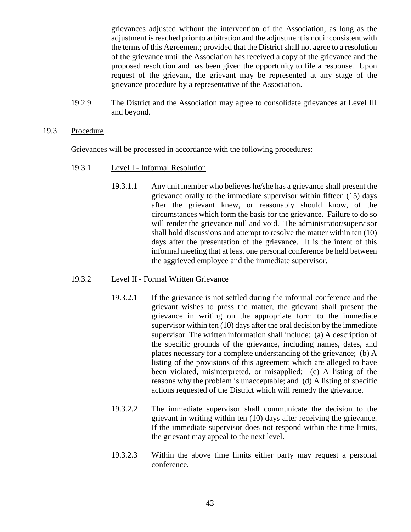grievances adjusted without the intervention of the Association, as long as the adjustment is reached prior to arbitration and the adjustment is not inconsistent with the terms of this Agreement; provided that the District shall not agree to a resolution of the grievance until the Association has received a copy of the grievance and the proposed resolution and has been given the opportunity to file a response. Upon request of the grievant, the grievant may be represented at any stage of the grievance procedure by a representative of the Association.

- 19.2.9 The District and the Association may agree to consolidate grievances at Level III and beyond.
- 19.3 Procedure

Grievances will be processed in accordance with the following procedures:

- 19.3.1 Level I Informal Resolution
	- 19.3.1.1 Any unit member who believes he/she has a grievance shall present the grievance orally to the immediate supervisor within fifteen (15) days after the grievant knew, or reasonably should know, of the circumstances which form the basis for the grievance. Failure to do so will render the grievance null and void. The administrator/supervisor shall hold discussions and attempt to resolve the matter within ten (10) days after the presentation of the grievance. It is the intent of this informal meeting that at least one personal conference be held between the aggrieved employee and the immediate supervisor.

## 19.3.2 Level II - Formal Written Grievance

- 19.3.2.1 If the grievance is not settled during the informal conference and the grievant wishes to press the matter, the grievant shall present the grievance in writing on the appropriate form to the immediate supervisor within ten (10) days after the oral decision by the immediate supervisor. The written information shall include: (a) A description of the specific grounds of the grievance, including names, dates, and places necessary for a complete understanding of the grievance; (b) A listing of the provisions of this agreement which are alleged to have been violated, misinterpreted, or misapplied; (c) A listing of the reasons why the problem is unacceptable; and (d) A listing of specific actions requested of the District which will remedy the grievance.
- 19.3.2.2 The immediate supervisor shall communicate the decision to the grievant in writing within ten (10) days after receiving the grievance. If the immediate supervisor does not respond within the time limits, the grievant may appeal to the next level.
- 19.3.2.3 Within the above time limits either party may request a personal conference.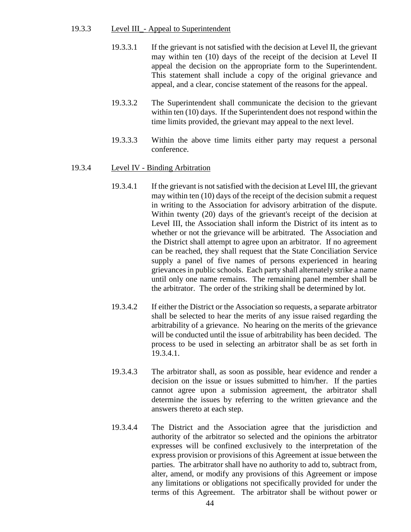#### 19.3.3 Level III\_- Appeal to Superintendent

- 19.3.3.1 If the grievant is not satisfied with the decision at Level II, the grievant may within ten (10) days of the receipt of the decision at Level II appeal the decision on the appropriate form to the Superintendent. This statement shall include a copy of the original grievance and appeal, and a clear, concise statement of the reasons for the appeal.
- 19.3.3.2 The Superintendent shall communicate the decision to the grievant within ten (10) days. If the Superintendent does not respond within the time limits provided, the grievant may appeal to the next level.
- 19.3.3.3 Within the above time limits either party may request a personal conference.

#### 19.3.4 Level IV - Binding Arbitration

- 19.3.4.1 If the grievant is not satisfied with the decision at Level III, the grievant may within ten (10) days of the receipt of the decision submit a request in writing to the Association for advisory arbitration of the dispute. Within twenty (20) days of the grievant's receipt of the decision at Level III, the Association shall inform the District of its intent as to whether or not the grievance will be arbitrated. The Association and the District shall attempt to agree upon an arbitrator. If no agreement can be reached, they shall request that the State Conciliation Service supply a panel of five names of persons experienced in hearing grievances in public schools. Each party shall alternately strike a name until only one name remains. The remaining panel member shall be the arbitrator. The order of the striking shall be determined by lot.
- 19.3.4.2 If either the District or the Association so requests, a separate arbitrator shall be selected to hear the merits of any issue raised regarding the arbitrability of a grievance. No hearing on the merits of the grievance will be conducted until the issue of arbitrability has been decided. The process to be used in selecting an arbitrator shall be as set forth in 19.3.4.1.
- 19.3.4.3 The arbitrator shall, as soon as possible, hear evidence and render a decision on the issue or issues submitted to him/her. If the parties cannot agree upon a submission agreement, the arbitrator shall determine the issues by referring to the written grievance and the answers thereto at each step.
- 19.3.4.4 The District and the Association agree that the jurisdiction and authority of the arbitrator so selected and the opinions the arbitrator expresses will be confined exclusively to the interpretation of the express provision or provisions of this Agreement at issue between the parties. The arbitrator shall have no authority to add to, subtract from, alter, amend, or modify any provisions of this Agreement or impose any limitations or obligations not specifically provided for under the terms of this Agreement. The arbitrator shall be without power or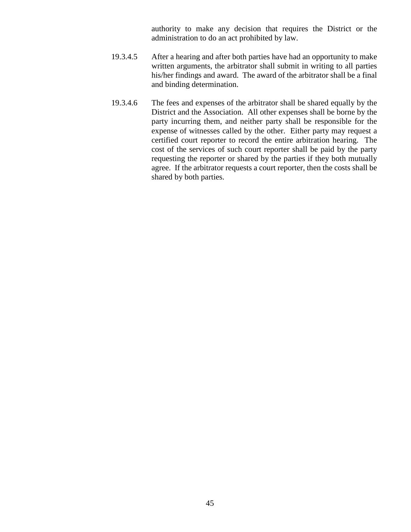authority to make any decision that requires the District or the administration to do an act prohibited by law.

- 19.3.4.5 After a hearing and after both parties have had an opportunity to make written arguments, the arbitrator shall submit in writing to all parties his/her findings and award. The award of the arbitrator shall be a final and binding determination.
- 19.3.4.6 The fees and expenses of the arbitrator shall be shared equally by the District and the Association. All other expenses shall be borne by the party incurring them, and neither party shall be responsible for the expense of witnesses called by the other. Either party may request a certified court reporter to record the entire arbitration hearing. The cost of the services of such court reporter shall be paid by the party requesting the reporter or shared by the parties if they both mutually agree. If the arbitrator requests a court reporter, then the costs shall be shared by both parties.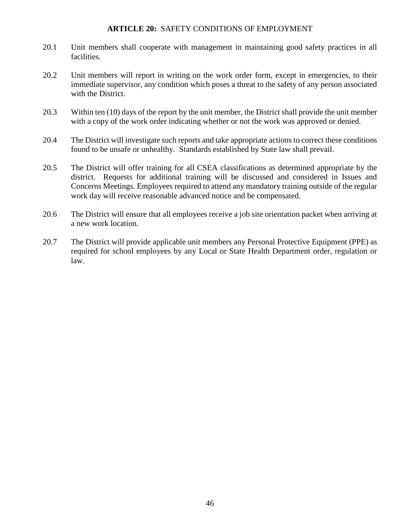#### **ARTICLE 20:** SAFETY CONDITIONS OF EMPLOYMENT

- 20.1 Unit members shall cooperate with management in maintaining good safety practices in all facilities.
- 20.2 Unit members will report in writing on the work order form, except in emergencies, to their immediate supervisor, any condition which poses a threat to the safety of any person associated with the District.
- 20.3 Within ten (10) days of the report by the unit member, the District shall provide the unit member with a copy of the work order indicating whether or not the work was approved or denied.
- 20.4 The District will investigate such reports and take appropriate actions to correct these conditions found to be unsafe or unhealthy. Standards established by State law shall prevail.
- 20.5 The District will offer training for all CSEA classifications as determined appropriate by the district. Requests for additional training will be discussed and considered in Issues and Concerns Meetings. Employees required to attend any mandatory training outside of the regular work day will receive reasonable advanced notice and be compensated.
- 20.6 The District will ensure that all employees receive a job site orientation packet when arriving at a new work location.
- 20.7 The District will provide applicable unit members any Personal Protective Equipment (PPE) as required for school employees by any Local or State Health Department order, regulation or law.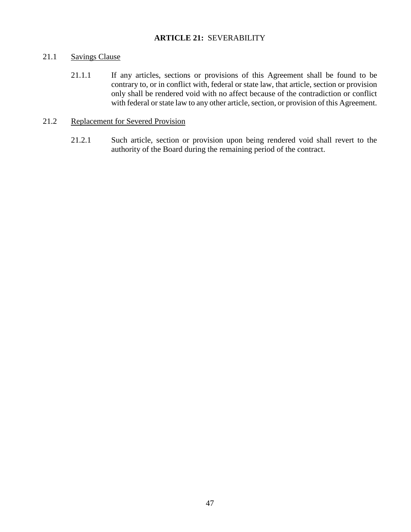# **ARTICLE 21:** SEVERABILITY

# 21.1 Savings Clause

21.1.1 If any articles, sections or provisions of this Agreement shall be found to be contrary to, or in conflict with, federal or state law, that article, section or provision only shall be rendered void with no affect because of the contradiction or conflict with federal or state law to any other article, section, or provision of this Agreement.

#### 21.2 Replacement for Severed Provision

21.2.1 Such article, section or provision upon being rendered void shall revert to the authority of the Board during the remaining period of the contract.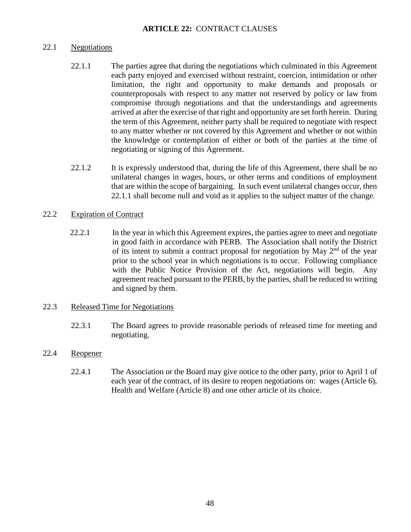# 22.1 Negotiations

- 22.1.1 The parties agree that during the negotiations which culminated in this Agreement each party enjoyed and exercised without restraint, coercion, intimidation or other limitation, the right and opportunity to make demands and proposals or counterproposals with respect to any matter not reserved by policy or law from compromise through negotiations and that the understandings and agreements arrived at after the exercise of that right and opportunity are set forth herein. During the term of this Agreement, neither party shall be required to negotiate with respect to any matter whether or not covered by this Agreement and whether or not within the knowledge or contemplation of either or both of the parties at the time of negotiating or signing of this Agreement.
- 22.1.2 It is expressly understood that, during the life of this Agreement, there shall be no unilateral changes in wages, hours, or other terms and conditions of employment that are within the scope of bargaining. In such event unilateral changes occur, then 22.1.1 shall become null and void as it applies to the subject matter of the change.

# 22.2 Expiration of Contract

 22.2.1 In the year in which this Agreement expires, the parties agree to meet and negotiate in good faith in accordance with PERB. The Association shall notify the District of its intent to submit a contract proposal for negotiation by May  $2<sup>nd</sup>$  of the year prior to the school year in which negotiations is to occur. Following compliance with the Public Notice Provision of the Act, negotiations will begin. Any agreement reached pursuant to the PERB, by the parties, shall be reduced to writing and signed by them.

# 22.3 Released Time for Negotiations

22.3.1 The Board agrees to provide reasonable periods of released time for meeting and negotiating.

# 22.4 Reopener

22.4.1 The Association or the Board may give notice to the other party, prior to April 1 of each year of the contract, of its desire to reopen negotiations on: wages (Article 6), Health and Welfare (Article 8) and one other article of its choice.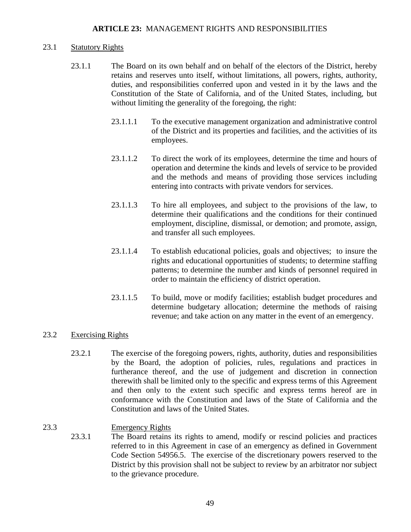## **ARTICLE 23:** MANAGEMENT RIGHTS AND RESPONSIBILITIES

#### 23.1 Statutory Rights

- 23.1.1 The Board on its own behalf and on behalf of the electors of the District, hereby retains and reserves unto itself, without limitations, all powers, rights, authority, duties, and responsibilities conferred upon and vested in it by the laws and the Constitution of the State of California, and of the United States, including, but without limiting the generality of the foregoing, the right:
	- 23.1.1.1 To the executive management organization and administrative control of the District and its properties and facilities, and the activities of its employees.
	- 23.1.1.2 To direct the work of its employees, determine the time and hours of operation and determine the kinds and levels of service to be provided and the methods and means of providing those services including entering into contracts with private vendors for services.
	- 23.1.1.3 To hire all employees, and subject to the provisions of the law, to determine their qualifications and the conditions for their continued employment, discipline, dismissal, or demotion; and promote, assign, and transfer all such employees.
	- 23.1.1.4 To establish educational policies, goals and objectives; to insure the rights and educational opportunities of students; to determine staffing patterns; to determine the number and kinds of personnel required in order to maintain the efficiency of district operation.
	- 23.1.1.5 To build, move or modify facilities; establish budget procedures and determine budgetary allocation; determine the methods of raising revenue; and take action on any matter in the event of an emergency.

## 23.2 Exercising Rights

23.2.1 The exercise of the foregoing powers, rights, authority, duties and responsibilities by the Board, the adoption of policies, rules, regulations and practices in furtherance thereof, and the use of judgement and discretion in connection therewith shall be limited only to the specific and express terms of this Agreement and then only to the extent such specific and express terms hereof are in conformance with the Constitution and laws of the State of California and the Constitution and laws of the United States.

# 23.3 Emergency Rights

23.3.1 The Board retains its rights to amend, modify or rescind policies and practices referred to in this Agreement in case of an emergency as defined in Government Code Section 54956.5. The exercise of the discretionary powers reserved to the District by this provision shall not be subject to review by an arbitrator nor subject to the grievance procedure.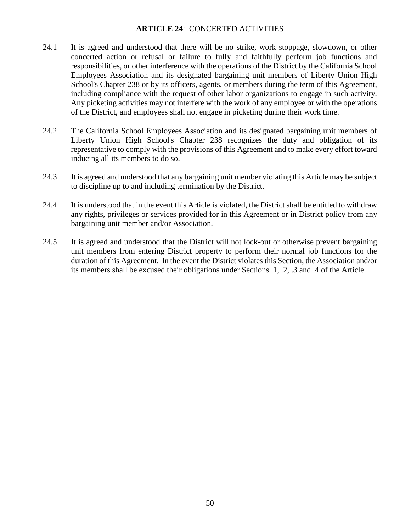# **ARTICLE 24**: CONCERTED ACTIVITIES

- 24.1 It is agreed and understood that there will be no strike, work stoppage, slowdown, or other concerted action or refusal or failure to fully and faithfully perform job functions and responsibilities, or other interference with the operations of the District by the California School Employees Association and its designated bargaining unit members of Liberty Union High School's Chapter 238 or by its officers, agents, or members during the term of this Agreement, including compliance with the request of other labor organizations to engage in such activity. Any picketing activities may not interfere with the work of any employee or with the operations of the District, and employees shall not engage in picketing during their work time.
- 24.2 The California School Employees Association and its designated bargaining unit members of Liberty Union High School's Chapter 238 recognizes the duty and obligation of its representative to comply with the provisions of this Agreement and to make every effort toward inducing all its members to do so.
- 24.3 It is agreed and understood that any bargaining unit member violating this Article may be subject to discipline up to and including termination by the District.
- 24.4 It is understood that in the event this Article is violated, the District shall be entitled to withdraw any rights, privileges or services provided for in this Agreement or in District policy from any bargaining unit member and/or Association.
- 24.5 It is agreed and understood that the District will not lock-out or otherwise prevent bargaining unit members from entering District property to perform their normal job functions for the duration of this Agreement. In the event the District violates this Section, the Association and/or its members shall be excused their obligations under Sections .1, .2, .3 and .4 of the Article.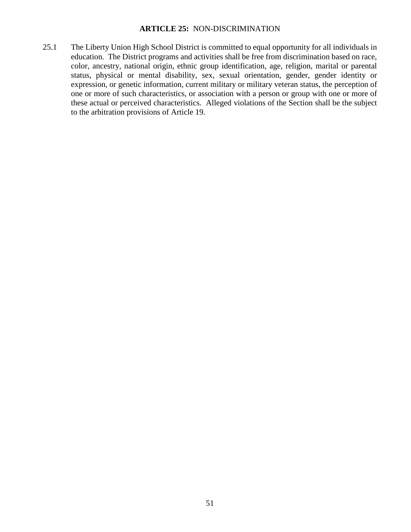## **ARTICLE 25:** NON-DISCRIMINATION

25.1 The Liberty Union High School District is committed to equal opportunity for all individuals in education. The District programs and activities shall be free from discrimination based on race, color, ancestry, national origin, ethnic group identification, age, religion, marital or parental status, physical or mental disability, sex, sexual orientation, gender, gender identity or expression, or genetic information, current military or military veteran status, the perception of one or more of such characteristics, or association with a person or group with one or more of these actual or perceived characteristics. Alleged violations of the Section shall be the subject to the arbitration provisions of Article 19.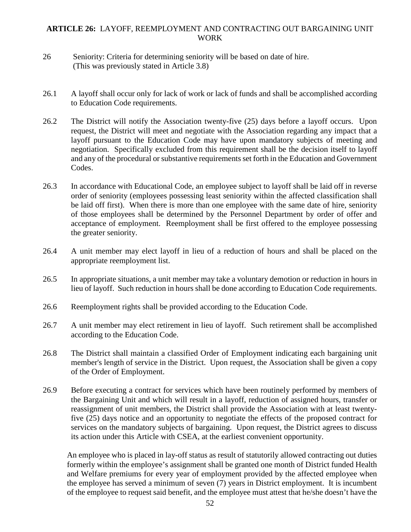# **ARTICLE 26:** LAYOFF, REEMPLOYMENT AND CONTRACTING OUT BARGAINING UNIT WORK

- 26 Seniority: Criteria for determining seniority will be based on date of hire. (This was previously stated in Article 3.8)
- 26.1 A layoff shall occur only for lack of work or lack of funds and shall be accomplished according to Education Code requirements.
- 26.2 The District will notify the Association twenty-five (25) days before a layoff occurs. Upon request, the District will meet and negotiate with the Association regarding any impact that a layoff pursuant to the Education Code may have upon mandatory subjects of meeting and negotiation. Specifically excluded from this requirement shall be the decision itself to layoff and any of the procedural or substantive requirements set forth in the Education and Government Codes.
- 26.3 In accordance with Educational Code, an employee subject to layoff shall be laid off in reverse order of seniority (employees possessing least seniority within the affected classification shall be laid off first). When there is more than one employee with the same date of hire, seniority of those employees shall be determined by the Personnel Department by order of offer and acceptance of employment. Reemployment shall be first offered to the employee possessing the greater seniority.
- 26.4 A unit member may elect layoff in lieu of a reduction of hours and shall be placed on the appropriate reemployment list.
- 26.5 In appropriate situations, a unit member may take a voluntary demotion or reduction in hours in lieu of layoff. Such reduction in hours shall be done according to Education Code requirements.
- 26.6 Reemployment rights shall be provided according to the Education Code.
- 26.7 A unit member may elect retirement in lieu of layoff. Such retirement shall be accomplished according to the Education Code.
- 26.8 The District shall maintain a classified Order of Employment indicating each bargaining unit member's length of service in the District. Upon request, the Association shall be given a copy of the Order of Employment.
- 26.9 Before executing a contract for services which have been routinely performed by members of the Bargaining Unit and which will result in a layoff, reduction of assigned hours, transfer or reassignment of unit members, the District shall provide the Association with at least twentyfive (25) days notice and an opportunity to negotiate the effects of the proposed contract for services on the mandatory subjects of bargaining. Upon request, the District agrees to discuss its action under this Article with CSEA, at the earliest convenient opportunity.

An employee who is placed in lay-off status as result of statutorily allowed contracting out duties formerly within the employee's assignment shall be granted one month of District funded Health and Welfare premiums for every year of employment provided by the affected employee when the employee has served a minimum of seven (7) years in District employment. It is incumbent of the employee to request said benefit, and the employee must attest that he/she doesn't have the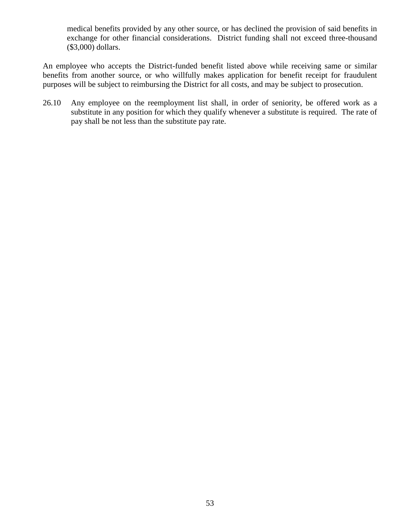medical benefits provided by any other source, or has declined the provision of said benefits in exchange for other financial considerations. District funding shall not exceed three-thousand (\$3,000) dollars.

An employee who accepts the District-funded benefit listed above while receiving same or similar benefits from another source, or who willfully makes application for benefit receipt for fraudulent purposes will be subject to reimbursing the District for all costs, and may be subject to prosecution.

26.10 Any employee on the reemployment list shall, in order of seniority, be offered work as a substitute in any position for which they qualify whenever a substitute is required. The rate of pay shall be not less than the substitute pay rate.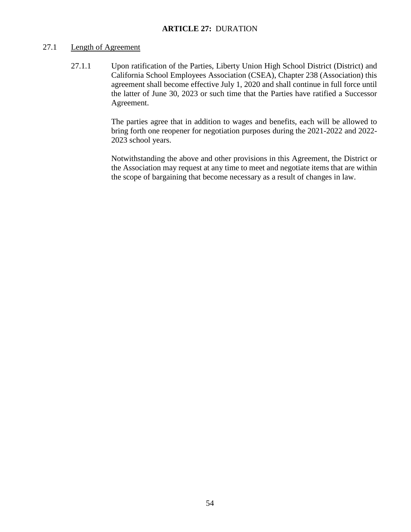# 27.1 Length of Agreement

27.1.1 Upon ratification of the Parties, Liberty Union High School District (District) and California School Employees Association (CSEA), Chapter 238 (Association) this agreement shall become effective July 1, 2020 and shall continue in full force until the latter of June 30, 2023 or such time that the Parties have ratified a Successor Agreement.

> The parties agree that in addition to wages and benefits, each will be allowed to bring forth one reopener for negotiation purposes during the 2021-2022 and 2022- 2023 school years.

> Notwithstanding the above and other provisions in this Agreement, the District or the Association may request at any time to meet and negotiate items that are within the scope of bargaining that become necessary as a result of changes in law.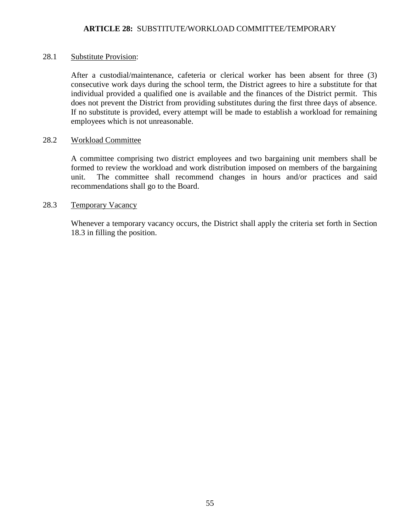## 28.1 Substitute Provision:

After a custodial/maintenance, cafeteria or clerical worker has been absent for three (3) consecutive work days during the school term, the District agrees to hire a substitute for that individual provided a qualified one is available and the finances of the District permit. This does not prevent the District from providing substitutes during the first three days of absence. If no substitute is provided, every attempt will be made to establish a workload for remaining employees which is not unreasonable.

# 28.2 Workload Committee

A committee comprising two district employees and two bargaining unit members shall be formed to review the workload and work distribution imposed on members of the bargaining unit. The committee shall recommend changes in hours and/or practices and said recommendations shall go to the Board.

# 28.3 Temporary Vacancy

Whenever a temporary vacancy occurs, the District shall apply the criteria set forth in Section 18.3 in filling the position.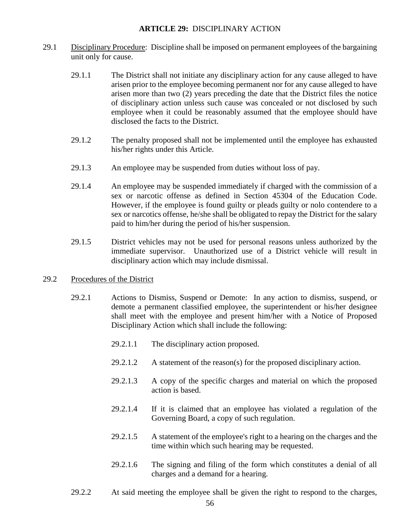## **ARTICLE 29:** DISCIPLINARY ACTION

- 29.1 Disciplinary Procedure: Discipline shall be imposed on permanent employees of the bargaining unit only for cause.
	- 29.1.1 The District shall not initiate any disciplinary action for any cause alleged to have arisen prior to the employee becoming permanent nor for any cause alleged to have arisen more than two (2) years preceding the date that the District files the notice of disciplinary action unless such cause was concealed or not disclosed by such employee when it could be reasonably assumed that the employee should have disclosed the facts to the District.
	- 29.1.2 The penalty proposed shall not be implemented until the employee has exhausted his/her rights under this Article.
	- 29.1.3 An employee may be suspended from duties without loss of pay.
	- 29.1.4 An employee may be suspended immediately if charged with the commission of a sex or narcotic offense as defined in Section 45304 of the Education Code. However, if the employee is found guilty or pleads guilty or nolo contendere to a sex or narcotics offense, he/she shall be obligated to repay the District for the salary paid to him/her during the period of his/her suspension.
	- 29.1.5 District vehicles may not be used for personal reasons unless authorized by the immediate supervisor. Unauthorized use of a District vehicle will result in disciplinary action which may include dismissal.

## 29.2 Procedures of the District

- 29.2.1 Actions to Dismiss, Suspend or Demote: In any action to dismiss, suspend, or demote a permanent classified employee, the superintendent or his/her designee shall meet with the employee and present him/her with a Notice of Proposed Disciplinary Action which shall include the following:
	- 29.2.1.1 The disciplinary action proposed.
	- 29.2.1.2 A statement of the reason(s) for the proposed disciplinary action.
	- 29.2.1.3 A copy of the specific charges and material on which the proposed action is based.
	- 29.2.1.4 If it is claimed that an employee has violated a regulation of the Governing Board, a copy of such regulation.
	- 29.2.1.5 A statement of the employee's right to a hearing on the charges and the time within which such hearing may be requested.
	- 29.2.1.6 The signing and filing of the form which constitutes a denial of all charges and a demand for a hearing.
- 29.2.2 At said meeting the employee shall be given the right to respond to the charges,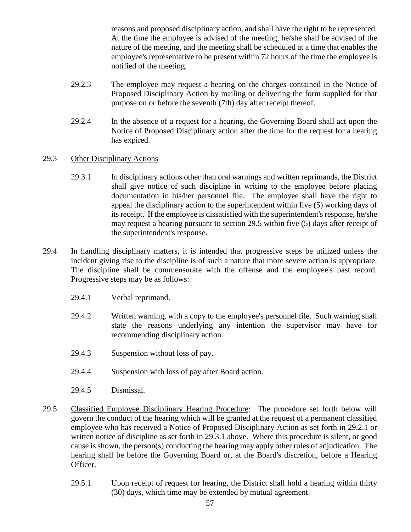reasons and proposed disciplinary action, and shall have the right to be represented. At the time the employee is advised of the meeting, he/she shall be advised of the nature of the meeting, and the meeting shall be scheduled at a time that enables the employee's representative to be present within 72 hours of the time the employee is notified of the meeting.

- 29.2.3 The employee may request a hearing on the charges contained in the Notice of Proposed Disciplinary Action by mailing or delivering the form supplied for that purpose on or before the seventh (7th) day after receipt thereof.
- 29.2.4 In the absence of a request for a hearing, the Governing Board shall act upon the Notice of Proposed Disciplinary action after the time for the request for a hearing has expired.

# 29.3 Other Disciplinary Actions

- 29.3.1 In disciplinary actions other than oral warnings and written reprimands, the District shall give notice of such discipline in writing to the employee before placing documentation in his/her personnel file. The employee shall have the right to appeal the disciplinary action to the superintendent within five (5) working days of its receipt. If the employee is dissatisfied with the superintendent's response, he/she may request a hearing pursuant to section 29.5 within five (5) days after receipt of the superintendent's response.
- 29.4 In handling disciplinary matters, it is intended that progressive steps be utilized unless the incident giving rise to the discipline is of such a nature that more severe action is appropriate. The discipline shall be commensurate with the offense and the employee's past record. Progressive steps may be as follows:
	- 29.4.1 Verbal reprimand.
	- 29.4.2 Written warning, with a copy to the employee's personnel file. Such warning shall state the reasons underlying any intention the supervisor may have for recommending disciplinary action.
	- 29.4.3 Suspension without loss of pay.
	- 29.4.4 Suspension with loss of pay after Board action.
	- 29.4.5 Dismissal.
- 29.5 Classified Employee Disciplinary Hearing Procedure: The procedure set forth below will govern the conduct of the hearing which will be granted at the request of a permanent classified employee who has received a Notice of Proposed Disciplinary Action as set forth in 29.2.1 or written notice of discipline as set forth in 29.3.1 above. Where this procedure is silent, or good cause is shown, the person(s) conducting the hearing may apply other rules of adjudication. The hearing shall be before the Governing Board or, at the Board's discretion, before a Hearing Officer.
	- 29.5.1 Upon receipt of request for hearing, the District shall hold a hearing within thirty (30) days, which time may be extended by mutual agreement.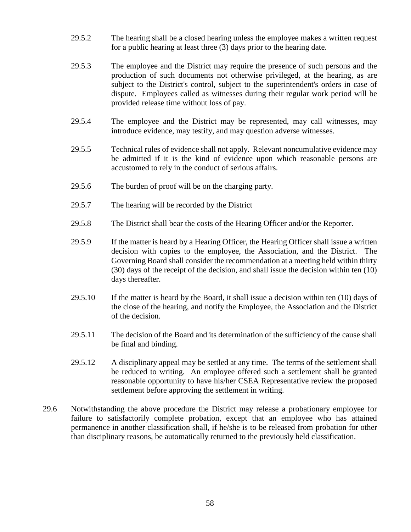- 29.5.2 The hearing shall be a closed hearing unless the employee makes a written request for a public hearing at least three (3) days prior to the hearing date.
- 29.5.3 The employee and the District may require the presence of such persons and the production of such documents not otherwise privileged, at the hearing, as are subject to the District's control, subject to the superintendent's orders in case of dispute. Employees called as witnesses during their regular work period will be provided release time without loss of pay.
- 29.5.4 The employee and the District may be represented, may call witnesses, may introduce evidence, may testify, and may question adverse witnesses.
- 29.5.5 Technical rules of evidence shall not apply. Relevant noncumulative evidence may be admitted if it is the kind of evidence upon which reasonable persons are accustomed to rely in the conduct of serious affairs.
- 29.5.6 The burden of proof will be on the charging party.
- 29.5.7 The hearing will be recorded by the District
- 29.5.8 The District shall bear the costs of the Hearing Officer and/or the Reporter.
- 29.5.9 If the matter is heard by a Hearing Officer, the Hearing Officer shall issue a written decision with copies to the employee, the Association, and the District. The Governing Board shall consider the recommendation at a meeting held within thirty (30) days of the receipt of the decision, and shall issue the decision within ten (10) days thereafter.
- $29.5.10$  If the matter is heard by the Board, it shall issue a decision within ten  $(10)$  days of the close of the hearing, and notify the Employee, the Association and the District of the decision.
- 29.5.11 The decision of the Board and its determination of the sufficiency of the cause shall be final and binding.
- 29.5.12 A disciplinary appeal may be settled at any time. The terms of the settlement shall be reduced to writing. An employee offered such a settlement shall be granted reasonable opportunity to have his/her CSEA Representative review the proposed settlement before approving the settlement in writing.
- 29.6 Notwithstanding the above procedure the District may release a probationary employee for failure to satisfactorily complete probation, except that an employee who has attained permanence in another classification shall, if he/she is to be released from probation for other than disciplinary reasons, be automatically returned to the previously held classification.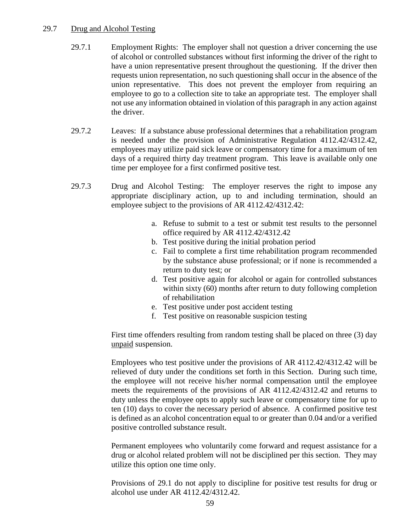## 29.7 Drug and Alcohol Testing

- 29.7.1 Employment Rights: The employer shall not question a driver concerning the use of alcohol or controlled substances without first informing the driver of the right to have a union representative present throughout the questioning. If the driver then requests union representation, no such questioning shall occur in the absence of the union representative. This does not prevent the employer from requiring an employee to go to a collection site to take an appropriate test. The employer shall not use any information obtained in violation of this paragraph in any action against the driver.
- 29.7.2 Leaves: If a substance abuse professional determines that a rehabilitation program is needed under the provision of Administrative Regulation 4112.42/4312.42, employees may utilize paid sick leave or compensatory time for a maximum of ten days of a required thirty day treatment program. This leave is available only one time per employee for a first confirmed positive test.
- 29.7.3 Drug and Alcohol Testing: The employer reserves the right to impose any appropriate disciplinary action, up to and including termination, should an employee subject to the provisions of AR 4112.42/4312.42:
	- a. Refuse to submit to a test or submit test results to the personnel office required by AR 4112.42/4312.42
	- b. Test positive during the initial probation period
	- c. Fail to complete a first time rehabilitation program recommended by the substance abuse professional; or if none is recommended a return to duty test; or
	- d. Test positive again for alcohol or again for controlled substances within sixty (60) months after return to duty following completion of rehabilitation
	- e. Test positive under post accident testing
	- f. Test positive on reasonable suspicion testing

First time offenders resulting from random testing shall be placed on three (3) day unpaid suspension.

Employees who test positive under the provisions of AR 4112.42/4312.42 will be relieved of duty under the conditions set forth in this Section. During such time, the employee will not receive his/her normal compensation until the employee meets the requirements of the provisions of AR 4112.42/4312.42 and returns to duty unless the employee opts to apply such leave or compensatory time for up to ten (10) days to cover the necessary period of absence. A confirmed positive test is defined as an alcohol concentration equal to or greater than 0.04 and/or a verified positive controlled substance result.

Permanent employees who voluntarily come forward and request assistance for a drug or alcohol related problem will not be disciplined per this section. They may utilize this option one time only.

Provisions of 29.1 do not apply to discipline for positive test results for drug or alcohol use under AR 4112.42/4312.42.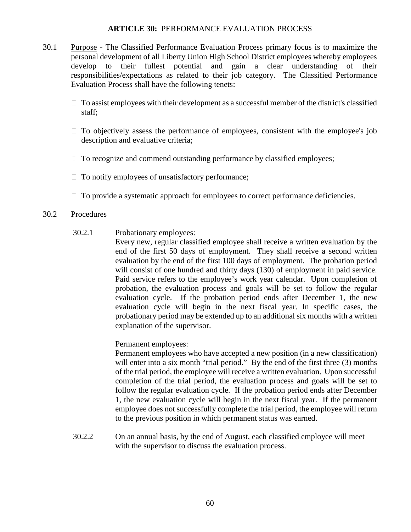#### **ARTICLE 30:** PERFORMANCE EVALUATION PROCESS

- 30.1 Purpose The Classified Performance Evaluation Process primary focus is to maximize the personal development of all Liberty Union High School District employees whereby employees develop to their fullest potential and gain a clear understanding of their responsibilities/expectations as related to their job category. The Classified Performance Evaluation Process shall have the following tenets:
	- $\Box$  To assist employees with their development as a successful member of the district's classified staff;
	- $\Box$  To objectively assess the performance of employees, consistent with the employee's job description and evaluative criteria;
	- $\Box$  To recognize and commend outstanding performance by classified employees;
	- $\Box$  To notify employees of unsatisfactory performance;
	- $\Box$  To provide a systematic approach for employees to correct performance deficiencies.

## 30.2 Procedures

30.2.1 Probationary employees:

Every new, regular classified employee shall receive a written evaluation by the end of the first 50 days of employment. They shall receive a second written evaluation by the end of the first 100 days of employment. The probation period will consist of one hundred and thirty days (130) of employment in paid service. Paid service refers to the employee's work year calendar. Upon completion of probation, the evaluation process and goals will be set to follow the regular evaluation cycle. If the probation period ends after December 1, the new evaluation cycle will begin in the next fiscal year. In specific cases, the probationary period may be extended up to an additional six months with a written explanation of the supervisor.

Permanent employees:

 Permanent employees who have accepted a new position (in a new classification) will enter into a six month "trial period." By the end of the first three (3) months of the trial period, the employee will receive a written evaluation. Upon successful completion of the trial period, the evaluation process and goals will be set to follow the regular evaluation cycle. If the probation period ends after December 1, the new evaluation cycle will begin in the next fiscal year. If the permanent employee does not successfully complete the trial period, the employee will return to the previous position in which permanent status was earned.

30.2.2 On an annual basis, by the end of August, each classified employee will meet with the supervisor to discuss the evaluation process.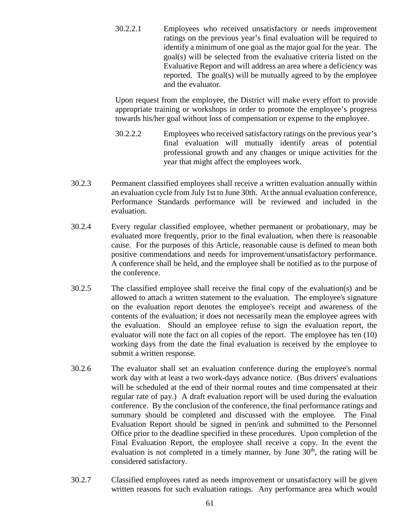30.2.2.1 Employees who received unsatisfactory or needs improvement ratings on the previous year's final evaluation will be required to identify a minimum of one goal as the major goal for the year. The goal(s) will be selected from the evaluative criteria listed on the Evaluative Report and will address an area where a deficiency was reported. The goal(s) will be mutually agreed to by the employee and the evaluator.

Upon request from the employee, the District will make every effort to provide appropriate training or workshops in order to promote the employee's progress towards his/her goal without loss of compensation or expense to the employee.

- 30.2.2.2 Employees who received satisfactory ratings on the previous year's final evaluation will mutually identify areas of potential professional growth and any changes or unique activities for the year that might affect the employees work.
- 30.2.3 Permanent classified employees shall receive a written evaluation annually within an evaluation cycle from July 1st to June 30th. At the annual evaluation conference, Performance Standards performance will be reviewed and included in the evaluation.
- 30.2.4 Every regular classified employee, whether permanent or probationary, may be evaluated more frequently, prior to the final evaluation, when there is reasonable cause. For the purposes of this Article, reasonable cause is defined to mean both positive commendations and needs for improvement/unsatisfactory performance. A conference shall be held, and the employee shall be notified as to the purpose of the conference.
- 30.2.5 The classified employee shall receive the final copy of the evaluation(s) and be allowed to attach a written statement to the evaluation. The employee's signature on the evaluation report denotes the employee's receipt and awareness of the contents of the evaluation; it does not necessarily mean the employee agrees with the evaluation. Should an employee refuse to sign the evaluation report, the evaluator will note the fact on all copies of the report. The employee has ten (10) working days from the date the final evaluation is received by the employee to submit a written response.
- 30.2.6 The evaluator shall set an evaluation conference during the employee's normal work day with at least a two work-days advance notice. (Bus drivers' evaluations will be scheduled at the end of their normal routes and time compensated at their regular rate of pay.) A draft evaluation report will be used during the evaluation conference. By the conclusion of the conference, the final performance ratings and summary should be completed and discussed with the employee. The Final Evaluation Report should be signed in pen/ink and submitted to the Personnel Office prior to the deadline specified in these procedures. Upon completion of the Final Evaluation Report, the employee shall receive a copy. In the event the evaluation is not completed in a timely manner, by June  $30<sup>th</sup>$ , the rating will be considered satisfactory.
- 30.2.7 Classified employees rated as needs improvement or unsatisfactory will be given written reasons for such evaluation ratings. Any performance area which would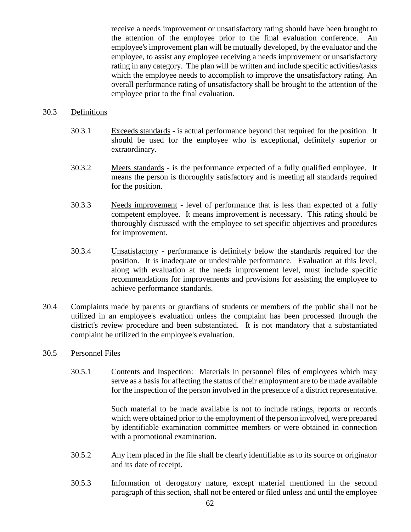receive a needs improvement or unsatisfactory rating should have been brought to the attention of the employee prior to the final evaluation conference. An employee's improvement plan will be mutually developed, by the evaluator and the employee, to assist any employee receiving a needs improvement or unsatisfactory rating in any category. The plan will be written and include specific activities/tasks which the employee needs to accomplish to improve the unsatisfactory rating. An overall performance rating of unsatisfactory shall be brought to the attention of the employee prior to the final evaluation.

#### 30.3 Definitions

- 30.3.1 Exceeds standards is actual performance beyond that required for the position. It should be used for the employee who is exceptional, definitely superior or extraordinary.
- 30.3.2 Meets standards is the performance expected of a fully qualified employee. It means the person is thoroughly satisfactory and is meeting all standards required for the position.
- 30.3.3 Needs improvement level of performance that is less than expected of a fully competent employee. It means improvement is necessary. This rating should be thoroughly discussed with the employee to set specific objectives and procedures for improvement.
- 30.3.4 Unsatisfactory performance is definitely below the standards required for the position. It is inadequate or undesirable performance. Evaluation at this level, along with evaluation at the needs improvement level, must include specific recommendations for improvements and provisions for assisting the employee to achieve performance standards.
- 30.4 Complaints made by parents or guardians of students or members of the public shall not be utilized in an employee's evaluation unless the complaint has been processed through the district's review procedure and been substantiated. It is not mandatory that a substantiated complaint be utilized in the employee's evaluation.

#### 30.5 Personnel Files

30.5.1 Contents and Inspection: Materials in personnel files of employees which may serve as a basis for affecting the status of their employment are to be made available for the inspection of the person involved in the presence of a district representative.

> Such material to be made available is not to include ratings, reports or records which were obtained prior to the employment of the person involved, were prepared by identifiable examination committee members or were obtained in connection with a promotional examination.

- 30.5.2 Any item placed in the file shall be clearly identifiable as to its source or originator and its date of receipt.
- 30.5.3 Information of derogatory nature, except material mentioned in the second paragraph of this section, shall not be entered or filed unless and until the employee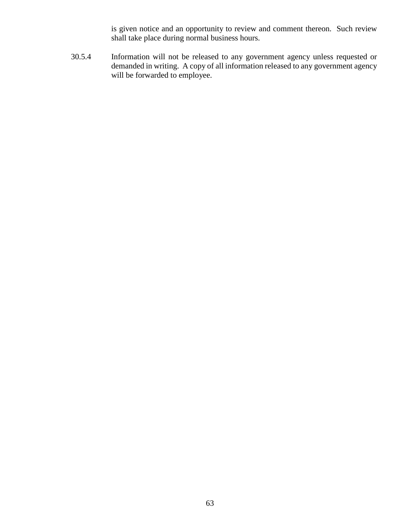is given notice and an opportunity to review and comment thereon. Such review shall take place during normal business hours.

30.5.4 Information will not be released to any government agency unless requested or demanded in writing. A copy of all information released to any government agency will be forwarded to employee.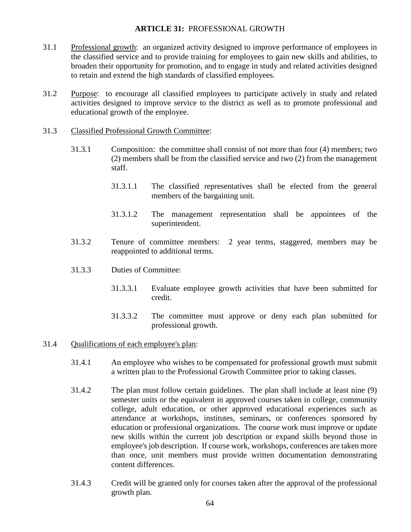## **ARTICLE 31:** PROFESSIONAL GROWTH

- 31.1 Professional growth: an organized activity designed to improve performance of employees in the classified service and to provide training for employees to gain new skills and abilities, to broaden their opportunity for promotion, and to engage in study and related activities designed to retain and extend the high standards of classified employees.
- 31.2 Purpose: to encourage all classified employees to participate actively in study and related activities designed to improve service to the district as well as to promote professional and educational growth of the employee.
- 31.3 Classified Professional Growth Committee:
	- 31.3.1 Composition: the committee shall consist of not more than four (4) members; two (2) members shall be from the classified service and two (2) from the management staff.
		- 31.3.1.1 The classified representatives shall be elected from the general members of the bargaining unit.
		- 31.3.1.2 The management representation shall be appointees of the superintendent.
	- 31.3.2 Tenure of committee members: 2 year terms, staggered, members may be reappointed to additional terms.
	- 31.3.3 Duties of Committee:
		- 31.3.3.1 Evaluate employee growth activities that have been submitted for credit.
		- 31.3.3.2 The committee must approve or deny each plan submitted for professional growth.
- 31.4 Qualifications of each employee's plan:
	- 31.4.1 An employee who wishes to be compensated for professional growth must submit a written plan to the Professional Growth Committee prior to taking classes.
	- 31.4.2 The plan must follow certain guidelines. The plan shall include at least nine (9) semester units or the equivalent in approved courses taken in college, community college, adult education, or other approved educational experiences such as attendance at workshops, institutes, seminars, or conferences sponsored by education or professional organizations. The course work must improve or update new skills within the current job description or expand skills beyond those in employee's job description. If course work, workshops, conferences are taken more than once, unit members must provide written documentation demonstrating content differences.
	- 31.4.3 Credit will be granted only for courses taken after the approval of the professional growth plan.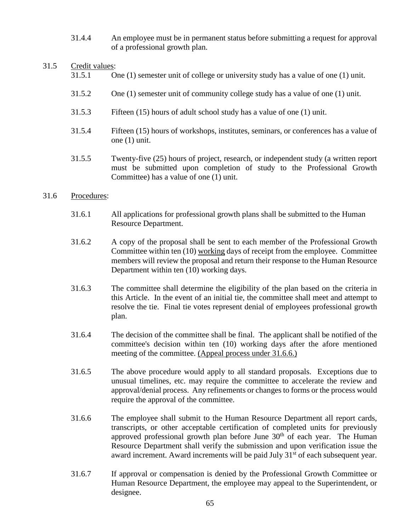31.4.4 An employee must be in permanent status before submitting a request for approval of a professional growth plan.

## 31.5 Credit values:

- 31.5.1 One (1) semester unit of college or university study has a value of one (1) unit.
- 31.5.2 One (1) semester unit of community college study has a value of one (1) unit.
- 31.5.3 Fifteen (15) hours of adult school study has a value of one (1) unit.
- 31.5.4 Fifteen (15) hours of workshops, institutes, seminars, or conferences has a value of one (1) unit.
- 31.5.5 Twenty-five (25) hours of project, research, or independent study (a written report must be submitted upon completion of study to the Professional Growth Committee) has a value of one (1) unit.

# 31.6 Procedures:

- 31.6.1 All applications for professional growth plans shall be submitted to the Human Resource Department.
- 31.6.2 A copy of the proposal shall be sent to each member of the Professional Growth Committee within ten (10) working days of receipt from the employee. Committee members will review the proposal and return their response to the Human Resource Department within ten (10) working days.
- 31.6.3 The committee shall determine the eligibility of the plan based on the criteria in this Article. In the event of an initial tie, the committee shall meet and attempt to resolve the tie. Final tie votes represent denial of employees professional growth plan.
- 31.6.4 The decision of the committee shall be final. The applicant shall be notified of the committee's decision within ten (10) working days after the afore mentioned meeting of the committee. (Appeal process under 31.6.6.)
- 31.6.5 The above procedure would apply to all standard proposals. Exceptions due to unusual timelines, etc. may require the committee to accelerate the review and approval/denial process. Any refinements or changes to forms or the process would require the approval of the committee.
- 31.6.6 The employee shall submit to the Human Resource Department all report cards, transcripts, or other acceptable certification of completed units for previously approved professional growth plan before June  $30<sup>th</sup>$  of each year. The Human Resource Department shall verify the submission and upon verification issue the award increment. Award increments will be paid July 31<sup>st</sup> of each subsequent year.
- 31.6.7 If approval or compensation is denied by the Professional Growth Committee or Human Resource Department, the employee may appeal to the Superintendent, or designee.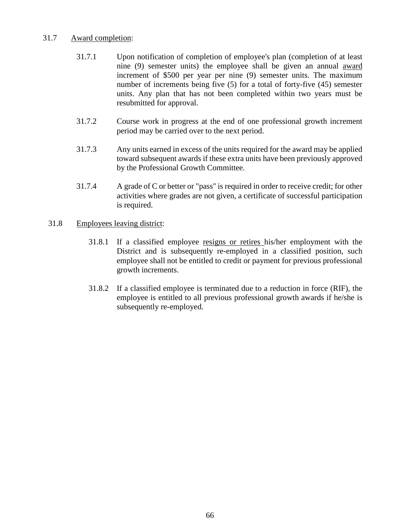# 31.7 Award completion:

- 31.7.1 Upon notification of completion of employee's plan (completion of at least nine (9) semester units) the employee shall be given an annual award increment of \$500 per year per nine (9) semester units. The maximum number of increments being five (5) for a total of forty-five (45) semester units. Any plan that has not been completed within two years must be resubmitted for approval.
- 31.7.2 Course work in progress at the end of one professional growth increment period may be carried over to the next period.
- 31.7.3 Any units earned in excess of the units required for the award may be applied toward subsequent awards if these extra units have been previously approved by the Professional Growth Committee.
- 31.7.4 A grade of C or better or "pass" is required in order to receive credit; for other activities where grades are not given, a certificate of successful participation is required.

# 31.8 Employees leaving district:

- 31.8.1 If a classified employee resigns or retires his/her employment with the District and is subsequently re-employed in a classified position, such employee shall not be entitled to credit or payment for previous professional growth increments.
- 31.8.2 If a classified employee is terminated due to a reduction in force (RIF), the employee is entitled to all previous professional growth awards if he/she is subsequently re-employed.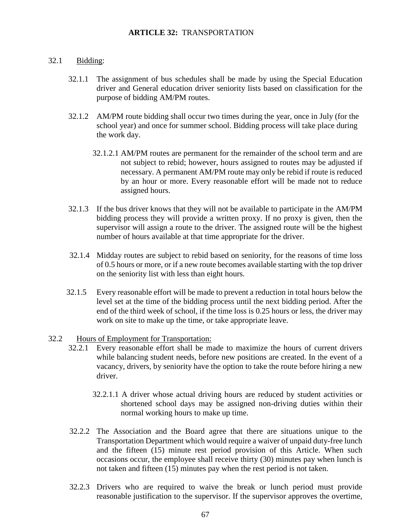#### 32.1 Bidding:

- 32.1.1 The assignment of bus schedules shall be made by using the Special Education driver and General education driver seniority lists based on classification for the purpose of bidding AM/PM routes.
- 32.1.2 AM/PM route bidding shall occur two times during the year, once in July (for the school year) and once for summer school. Bidding process will take place during the work day.
	- 32.1.2.1 AM/PM routes are permanent for the remainder of the school term and are not subject to rebid; however, hours assigned to routes may be adjusted if necessary. A permanent AM/PM route may only be rebid if route is reduced by an hour or more. Every reasonable effort will be made not to reduce assigned hours.
- 32.1.3 If the bus driver knows that they will not be available to participate in the AM/PM bidding process they will provide a written proxy. If no proxy is given, then the supervisor will assign a route to the driver. The assigned route will be the highest number of hours available at that time appropriate for the driver.
- 32.1.4 Midday routes are subject to rebid based on seniority, for the reasons of time loss of 0.5 hours or more, or if a new route becomes available starting with the top driver on the seniority list with less than eight hours.
- 32.1.5 Every reasonable effort will be made to prevent a reduction in total hours below the level set at the time of the bidding process until the next bidding period. After the end of the third week of school, if the time loss is 0.25 hours or less, the driver may work on site to make up the time, or take appropriate leave.

#### 32.2 Hours of Employment for Transportation:

- 32.2.1 Every reasonable effort shall be made to maximize the hours of current drivers while balancing student needs, before new positions are created. In the event of a vacancy, drivers, by seniority have the option to take the route before hiring a new driver.
	- 32.2.1.1 A driver whose actual driving hours are reduced by student activities or shortened school days may be assigned non-driving duties within their normal working hours to make up time.
- 32.2.2 The Association and the Board agree that there are situations unique to the Transportation Department which would require a waiver of unpaid duty-free lunch and the fifteen (15) minute rest period provision of this Article. When such occasions occur, the employee shall receive thirty (30) minutes pay when lunch is not taken and fifteen (15) minutes pay when the rest period is not taken.
- 32.2.3 Drivers who are required to waive the break or lunch period must provide reasonable justification to the supervisor. If the supervisor approves the overtime,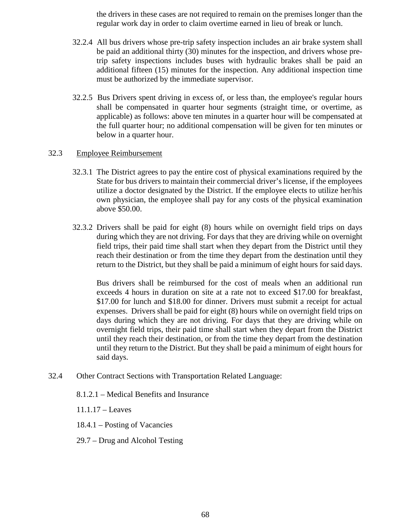the drivers in these cases are not required to remain on the premises longer than the regular work day in order to claim overtime earned in lieu of break or lunch.

- 32.2.4 All bus drivers whose pre-trip safety inspection includes an air brake system shall be paid an additional thirty (30) minutes for the inspection, and drivers whose pretrip safety inspections includes buses with hydraulic brakes shall be paid an additional fifteen (15) minutes for the inspection. Any additional inspection time must be authorized by the immediate supervisor.
- 32.2.5 Bus Drivers spent driving in excess of, or less than, the employee's regular hours shall be compensated in quarter hour segments (straight time, or overtime, as applicable) as follows: above ten minutes in a quarter hour will be compensated at the full quarter hour; no additional compensation will be given for ten minutes or below in a quarter hour.

#### 32.3 Employee Reimbursement

- 32.3.1 The District agrees to pay the entire cost of physical examinations required by the State for bus drivers to maintain their commercial driver's license, if the employees utilize a doctor designated by the District. If the employee elects to utilize her/his own physician, the employee shall pay for any costs of the physical examination above \$50.00.
- 32.3.2 Drivers shall be paid for eight (8) hours while on overnight field trips on days during which they are not driving. For days that they are driving while on overnight field trips, their paid time shall start when they depart from the District until they reach their destination or from the time they depart from the destination until they return to the District, but they shall be paid a minimum of eight hours for said days.

 Bus drivers shall be reimbursed for the cost of meals when an additional run exceeds 4 hours in duration on site at a rate not to exceed \$17.00 for breakfast, \$17.00 for lunch and \$18.00 for dinner. Drivers must submit a receipt for actual expenses. Drivers shall be paid for eight (8) hours while on overnight field trips on days during which they are not driving. For days that they are driving while on overnight field trips, their paid time shall start when they depart from the District until they reach their destination, or from the time they depart from the destination until they return to the District. But they shall be paid a minimum of eight hours for said days.

32.4 Other Contract Sections with Transportation Related Language:

8.1.2.1 – Medical Benefits and Insurance

11.1.17 – Leaves

- 18.4.1 Posting of Vacancies
- 29.7 Drug and Alcohol Testing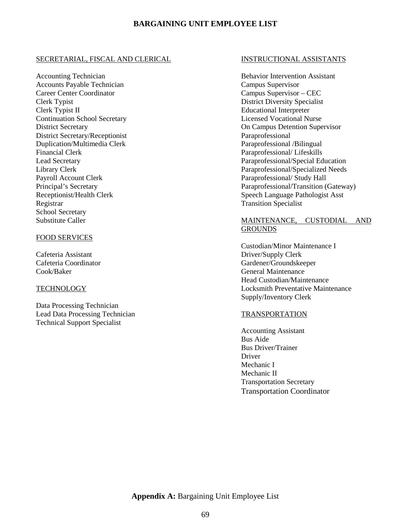#### **BARGAINING UNIT EMPLOYEE LIST**

#### SECRETARIAL, FISCAL AND CLERICAL

Accounting Technician Accounts Payable Technician Career Center Coordinator Clerk Typist Clerk Typist II Continuation School Secretary District Secretary District Secretary/Receptionist Duplication/Multimedia Clerk Financial Clerk Lead Secretary Library Clerk Payroll Account Clerk Principal's Secretary Receptionist/Health Clerk Registrar School Secretary Substitute Caller

#### FOOD SERVICES

Cafeteria Assistant Cafeteria Coordinator Cook/Baker

#### **TECHNOLOGY**

Data Processing Technician Lead Data Processing Technician Technical Support Specialist

#### INSTRUCTIONAL ASSISTANTS

Behavior Intervention Assistant Campus Supervisor Campus Supervisor – CEC District Diversity Specialist Educational Interpreter Licensed Vocational Nurse On Campus Detention Supervisor Paraprofessional Paraprofessional /Bilingual Paraprofessional/ Lifeskills Paraprofessional/Special Education Paraprofessional/Specialized Needs Paraprofessional/ Study Hall Paraprofessional/Transition (Gateway) Speech Language Pathologist Asst Transition Specialist

#### MAINTENANCE, CUSTODIAL AND **GROUNDS**

Custodian/Minor Maintenance I Driver/Supply Clerk Gardener/Groundskeeper General Maintenance Head Custodian/Maintenance Locksmith Preventative Maintenance Supply/Inventory Clerk

#### TRANSPORTATION

Accounting Assistant Bus Aide Bus Driver/Trainer Driver Mechanic I Mechanic II Transportation Secretary Transportation Coordinator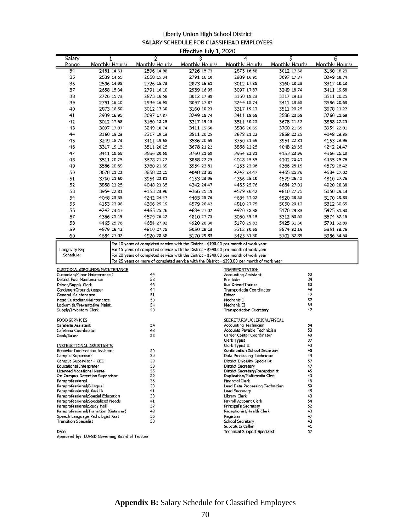#### Liberty Union High School District SALARY SCHEDULE FOR CLASSIFIEAD EMPLOYEES Effective July 1, 2020

|                                                |                                       |                     | Eliccuve July 1, 2020 |                                                                                                                                                                                        |                     |                     |
|------------------------------------------------|---------------------------------------|---------------------|-----------------------|----------------------------------------------------------------------------------------------------------------------------------------------------------------------------------------|---------------------|---------------------|
| Salary<br>Range                                | 1<br>Monthly Hourly                   | 2<br>Monthly Hourly | 3<br>Monthly Hourly   | 4<br>Monthly Hourly                                                                                                                                                                    | 5<br>Monthly Hourly | 6<br>Monthly Hourly |
| 34                                             | 2481 14.31                            | 2596 14.98          | 2726 15.73            | 2873 16.58                                                                                                                                                                             | 3012 17.38          | 3160 18.23          |
|                                                |                                       |                     | 2791 16.10            | 2939 16.95                                                                                                                                                                             | 3097 17.87          |                     |
| 35                                             | 2539 14.65                            | 2658 15.34          |                       |                                                                                                                                                                                        |                     | 3249 18.74          |
| 36                                             | 2596 14.98                            | 2726 15.73          | 2873 16.58            | 3012 17.38                                                                                                                                                                             | 3160 18.23          | 3317 19.13          |
| 37                                             | 2658 15.34                            | 2791 16.10          | 2939 16.95            | 3097 17.87                                                                                                                                                                             | 3249 18.74          | 3411 19.68          |
| 38                                             | 2726 15.73                            | 2873 16.58          | 3012 17.38            | 3160 18.23                                                                                                                                                                             | 3317 19.13          | 3511 20.25          |
| 39                                             | 2791 16.10                            | 2939 16.95          | 3097 17.87            | 3249 18.74                                                                                                                                                                             | 3411 19.68          | 3586 20.69          |
| 40                                             | 2873 16.58                            | 3012 17.38          | 3160 18.23            | 3317 19.13                                                                                                                                                                             | 3511 20.25          | 3678 21.22          |
| 41                                             | 2939 16.95                            | 3097 17.87          | 3249 18.74            | 3411 19.68                                                                                                                                                                             | 3586 20.69          | 3760 21.69          |
| 42                                             | 3012 17.38                            | 3160 18.23          | 3317 19.13            | 3511 20.25                                                                                                                                                                             | 3678 21.22          | 3858 22.25          |
| 43                                             | 3097 17.87                            | 3249 18.74          | 3411 19.68            | 3586 20.69                                                                                                                                                                             | 3760 21.69          | 3954 22.81          |
| 44                                             | 3160 18.23                            | 3317 19.13          | 3511 20.25            | 3678 21.22                                                                                                                                                                             | 3858 22.25          | 4048 23.35          |
| 45                                             | 3249 18.74                            | 3411 19.68          | 3586 20.69            | 3760 21.69                                                                                                                                                                             | 3954 22.81          | 4153 23.96          |
| 46                                             | 3317 19.13                            | 3511 20.25          | 3678 21.22            | 3858 22.25                                                                                                                                                                             | 4048 23.35          | 4242 24.47          |
| 47                                             | 3411 19.68                            | 3586 20.69          | 3760 21.69            | 3954 22.81                                                                                                                                                                             | 4153 23.96          | 4366 25.19          |
| 48                                             | 3511 20.25                            | 3678 21.22          | 3858 22.25            | 4048 23.35                                                                                                                                                                             | 4242 24.47          | 4465 25.76          |
| 49                                             | 3586 20.69                            | 3760 21.69          | 3954 22.81            | 4153 23.96                                                                                                                                                                             | 4366 25.19          | 4579 26.42          |
| 50                                             | 3678 21.22                            | 3858 22.25          | 4048 23.35            | 4242 24.47                                                                                                                                                                             | 4465 25.76          | 4684 27.02          |
| 51                                             | 3760 21.69                            | 3954 22.81          | 4153 23.96            | 4366 25.19                                                                                                                                                                             | 4579 26.42          | 4810 27.75          |
| 52                                             | 3858 22.25                            | 4048 23.35          | 4242 24.47            | 4465 25.76                                                                                                                                                                             | 4684 27.02          | 4920 28.38          |
| 53                                             | 3954 22.81                            | 4153 23.96          | 4366 25.19            | 4579 26.42                                                                                                                                                                             | 4810 27.75          | 5050 29.13          |
| 54                                             | 4048 23.35                            | 4242 24.47          | 4465 25.76            | 4684 27.02                                                                                                                                                                             | 4920 28.38          | 5170 29.83          |
| 55                                             | 4153 23.96                            | 4366 25.19          | 4579 26.42            | 4810 27.75                                                                                                                                                                             | 5050 29.13          | 5312 30.65          |
| 56                                             | 4242 24.47                            | 4465 25.76          | 4684 27.02            | 4920 28.38                                                                                                                                                                             | 5170 29.83          | 5425 31.30          |
| 57                                             | 4366 25.19                            | 4579 26.42          | 4810 27.75            | 5050 29.13                                                                                                                                                                             | 5312 30.65          | 5574 32.16          |
| 58                                             | 4465 25.76                            | 4684 27.02          | 4920 28.38            | 5170 29.83                                                                                                                                                                             | 5425 31.30          | 5701 32.89          |
| 59                                             | 4579 26.42                            | 4810 27.75          | 5050 29.13            | 5312 30.65                                                                                                                                                                             | 5574 32.16          | 5851 33.76          |
| 60                                             | 4684 27.02                            | 4920 28.38          | 5170 29.83            | 5425 31.30                                                                                                                                                                             | 5701 32.89          | 5986 34.54          |
| Schedule:                                      |                                       |                     |                       | For 20 years of completed service with the District - \$340.00 per month of work year<br>For 25 years or more of completed service with the District - \$390.00 per month of work year |                     |                     |
|                                                | CUSTODIAL/GROUNDS/MAINTENANCE         |                     |                       | <b>TRANSPORTATION</b>                                                                                                                                                                  |                     |                     |
| Custodian/Minor Maintenance I                  |                                       | 44                  |                       | <b>Accounting Assistant</b>                                                                                                                                                            | 50                  |                     |
| <b>District Pool Maintenance</b>               |                                       | 52                  |                       | <b>Bus Aide</b>                                                                                                                                                                        | 34                  |                     |
| Driver/Supply Clerk<br>Gardener/Groundskeeper  |                                       | 43<br>44            |                       | <b>Bus Driver/Trainer</b><br><b>Transportatin Coordinator</b>                                                                                                                          | 50<br>49            |                     |
| General Maintenance                            |                                       | 51                  |                       | Driver                                                                                                                                                                                 | 47                  |                     |
| Head Custodian/Maintenance                     |                                       | 50                  |                       | Mechanic I                                                                                                                                                                             | 57                  |                     |
| Locksmith/Preventative Maint.                  |                                       | 54                  |                       | Mechanic II                                                                                                                                                                            | 59                  |                     |
| Supply/Inventory Clerk                         |                                       | 43                  |                       | <b>Transportation Secretary</b>                                                                                                                                                        | 47                  |                     |
| <b>FOOD SERVICES</b>                           |                                       |                     |                       | SECRETARIAL/CLERICAL/FISCAL                                                                                                                                                            |                     |                     |
| Cafeteria Assistant<br>Cafeteria Coordinator   |                                       | 34<br>43            |                       | <b>Accounting Technician</b><br>Accounts Payable Technician                                                                                                                            | 54<br>50            |                     |
| Cook/Baker                                     |                                       | 38                  |                       | Career Center Coordinator                                                                                                                                                              | 48                  |                     |
|                                                |                                       |                     |                       | Clerk Typist                                                                                                                                                                           | 37                  |                     |
| <b>INSTRUCTIONAL ASSISTANTS</b>                |                                       |                     |                       | Clerk Typist II                                                                                                                                                                        | 40                  |                     |
| <b>Behavior Intervention Assistant</b>         |                                       | 50<br>39            |                       | <b>Continuation School Secretary</b><br>Data Processing Technician                                                                                                                     | 48<br>49            |                     |
| Campus Supervisor<br>Campus Supervisor - CEC   |                                       | 39                  |                       | <b>District Diversity Specialist</b>                                                                                                                                                   | 57                  |                     |
| <b>Educational Interpreter</b>                 |                                       | 53                  |                       | <b>District Secretary</b>                                                                                                                                                              | 47                  |                     |
| <b>Licensed Vocational Nurse</b>               |                                       | 55                  |                       | District Secretary/Receptionist                                                                                                                                                        | 45                  |                     |
|                                                | On-Campus Detention Supervisor        | 39                  |                       | Duplication/Multimedia Clerk                                                                                                                                                           | 43                  |                     |
| Paraprofessional<br>Paraprofessional/Bilingual |                                       | 36<br>38            |                       | <b>Financial Clerk</b><br>Lead Data Processing Technician                                                                                                                              | 46<br>59            |                     |
| Paraprofessional/Lifeskills                    |                                       | 41                  |                       | <b>Lead Secretary</b>                                                                                                                                                                  | 45                  |                     |
|                                                | Paraprofessional/Special Education    | 38                  |                       | Library Clerk                                                                                                                                                                          | 40                  |                     |
|                                                | Paraprofessional/Specialized Needs    | 41                  |                       | Payroll Account Clerk                                                                                                                                                                  | 54                  |                     |
| Paraprofessional/Study Hall                    | Paraprofessional/Transition (Gateway) | 37<br>43            |                       | Principal's Secretary<br>Receptionist/Health Clerk                                                                                                                                     | 52<br>43            |                     |
|                                                | Speech Language Pathologist Asst      | 55                  |                       | Registrar                                                                                                                                                                              | 47                  |                     |
| <b>Transition Specialist</b>                   |                                       | 50                  |                       | School Secretary                                                                                                                                                                       | 43                  |                     |
|                                                |                                       |                     |                       | Substitute Caller                                                                                                                                                                      | 41                  |                     |
| Date:                                          |                                       |                     |                       | <b>Technical Support Specialist</b>                                                                                                                                                    | 57                  |                     |

Approved by: LUHSD Governing Board of Trustee

**Appendix B:** Salary Schedule for Classified Employees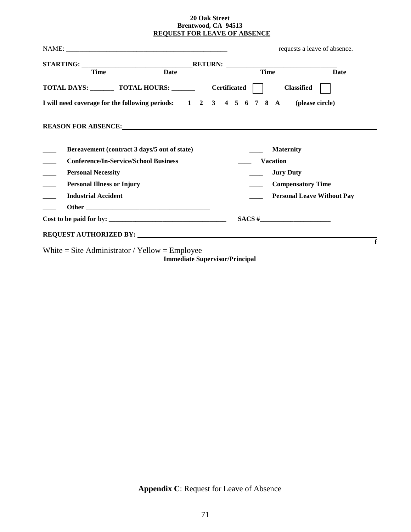#### **20 Oak Street Brentwood, CA 94513 REQUEST FOR LEAVE OF ABSENCE**

| <b>Time</b>                                                  | Date | <b>Time</b>                                                                                                                                                                                                                         | Date                              |
|--------------------------------------------------------------|------|-------------------------------------------------------------------------------------------------------------------------------------------------------------------------------------------------------------------------------------|-----------------------------------|
| TOTAL DAYS: __________ TOTAL HOURS: ___________ Certificated |      | <b>Classified</b>                                                                                                                                                                                                                   |                                   |
|                                                              |      | I will need coverage for the following periods: $1 \quad 2 \quad 3 \quad 4 \quad 5 \quad 6 \quad 7 \quad 8$ A                                                                                                                       | (please circle)                   |
|                                                              |      | <b>REASON FOR ABSENCE:</b> New York of the Second Second Second Second Second Second Second Second Second Second Second Second Second Second Second Second Second Second Second Second Second Second Second Second Second Second Se |                                   |
|                                                              |      |                                                                                                                                                                                                                                     |                                   |
| Bereavement (contract 3 days/5 out of state)                 |      | <b>Maternity</b>                                                                                                                                                                                                                    |                                   |
| <b>Conference/In-Service/School Business</b>                 |      | <b>Vacation</b>                                                                                                                                                                                                                     |                                   |
| <b>Personal Necessity</b>                                    |      | <b>Jury Duty</b>                                                                                                                                                                                                                    |                                   |
| <b>Personal Illness or Injury</b>                            |      | <b>Compensatory Time</b>                                                                                                                                                                                                            |                                   |
| <b>Industrial Accident</b>                                   |      |                                                                                                                                                                                                                                     | <b>Personal Leave Without Pay</b> |
|                                                              |      |                                                                                                                                                                                                                                     |                                   |

White = Site Administrator / Yellow = Employee

**Immediate Supervisor/Principal**

**Appendix C**: Request for Leave of Absence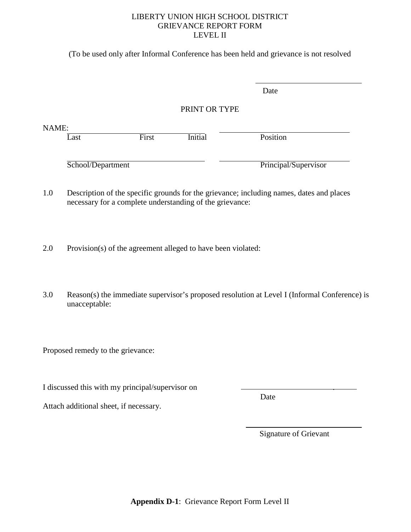### LIBERTY UNION HIGH SCHOOL DISTRICT GRIEVANCE REPORT FORM LEVEL II

(To be used only after Informal Conference has been held and grievance is not resolved

|                   |       |                | Date                 |
|-------------------|-------|----------------|----------------------|
|                   |       | PRINT OR TYPE  |                      |
| NAME:<br>Last     | First | <b>Initial</b> | Position             |
| School/Department |       |                | Principal/Supervisor |

1.0 Description of the specific grounds for the grievance; including names, dates and places necessary for a complete understanding of the grievance:

2.0 Provision(s) of the agreement alleged to have been violated:

3.0 Reason(s) the immediate supervisor's proposed resolution at Level I (Informal Conference) is unacceptable:

Proposed remedy to the grievance:

I discussed this with my principal/supervisor on .

**Date** 

Attach additional sheet, if necessary.

Signature of Grievant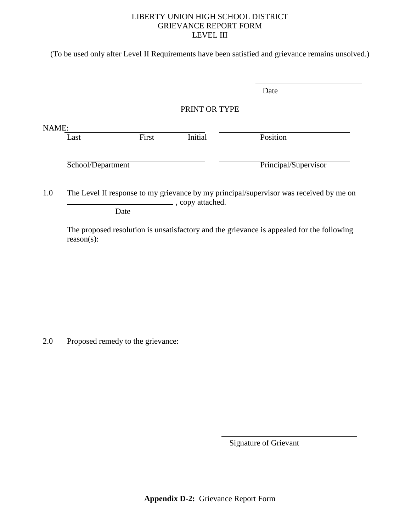### LIBERTY UNION HIGH SCHOOL DISTRICT GRIEVANCE REPORT FORM LEVEL III

(To be used only after Level II Requirements have been satisfied and grievance remains unsolved.)

|       |                   |       |                   | Date                                                                                   |
|-------|-------------------|-------|-------------------|----------------------------------------------------------------------------------------|
|       |                   |       | PRINT OR TYPE     |                                                                                        |
| NAME: |                   |       |                   |                                                                                        |
|       | Last              | First | Initial           | Position                                                                               |
|       |                   |       |                   |                                                                                        |
|       | School/Department |       |                   | Principal/Supervisor                                                                   |
|       |                   |       |                   |                                                                                        |
| 1.0   |                   |       | ., copy attached. | The Level II response to my grievance by my principal/supervisor was received by me on |
|       | Date              |       |                   |                                                                                        |

The proposed resolution is unsatisfactory and the grievance is appealed for the following reason(s):

2.0 Proposed remedy to the grievance:

Signature of Grievant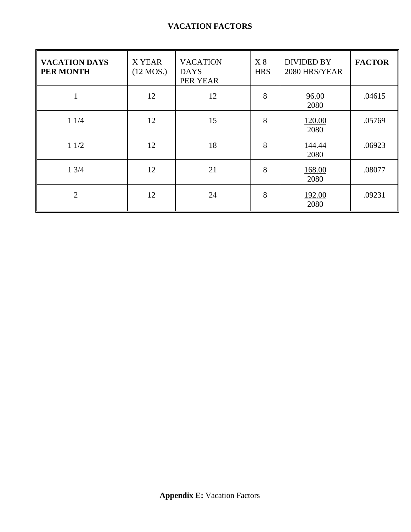| <b>VACATION DAYS</b><br>PER MONTH | X YEAR<br>$(12$ MOS.) | <b>VACATION</b><br><b>DAYS</b><br>PER YEAR | X8<br><b>HRS</b> | <b>DIVIDED BY</b><br>2080 HRS/YEAR | <b>FACTOR</b> |
|-----------------------------------|-----------------------|--------------------------------------------|------------------|------------------------------------|---------------|
| 1                                 | 12                    | 12                                         | 8                | 96.00<br>2080                      | .04615        |
| 11/4                              | 12                    | 15                                         | 8                | 120.00<br>2080                     | .05769        |
| 11/2                              | 12                    | 18                                         | 8                | 144.44<br>2080                     | .06923        |
| 13/4                              | 12                    | 21                                         | 8                | 168.00<br>2080                     | .08077        |
| $\overline{2}$                    | 12                    | 24                                         | 8                | 192.00<br>2080                     | .09231        |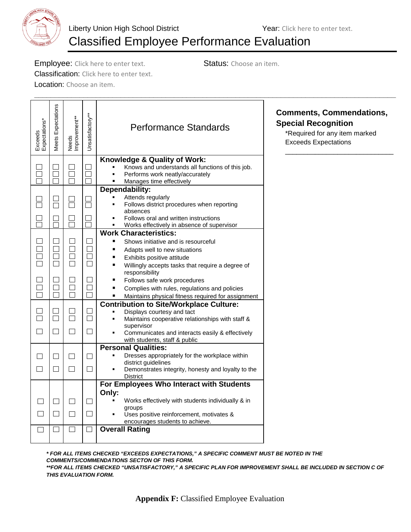

# Classified Employee Performance Evaluation

**\_\_\_\_\_\_\_\_\_\_\_\_\_\_\_\_\_\_\_\_\_\_\_\_\_\_\_\_\_\_\_\_\_\_\_\_\_\_\_\_\_\_\_\_\_\_\_\_\_\_\_\_\_\_\_\_\_\_\_\_\_\_\_\_\_\_\_\_\_\_\_\_\_\_\_\_\_\_\_\_\_\_\_\_\_\_\_\_**

**Employee:** Click here to enter text. Status: Choose an item. Classification: Click here to enter text.

Location: Choose an item.

Exceeds<br>Expectations\*<br>Meets Expectations<br>Needs<br>Improvement\*\*<br>Unsatisfactory\*\*\* Performance Standards \_\_\_\_\_\_\_\_\_\_\_\_\_\_\_\_\_\_\_\_\_\_\_\_\_\_\_\_\_ **Knowledge & Quality of Work:**  $\Box$  Knows and understands all functions of this job.  $\Box$  $\Box$  $\Box$ Ō  $\Box$  $\Box$  $\Box$ **Performs work neatly/accurately**<br>**Parages time effectively**  $\Box$  $\Box$  $\Box$  Manages time effectively **Dependability:** Attends regularly  $\Box$  $\Box$  $\begin{array}{c} \square \end{array}$  $\Box$  Follows district procedures when reporting absences  $\Box$  $\Box$  $\Box$  $\Box$  Follows oral and written instructions Ō  $\Box$  $\Box$  $\Box$  Works effectively in absence of supervisor **Work Characteristics:**  $\Box$  $\Box$  $\Box$  $\Box$  Shows initiative and is resourceful  $\Box$  $\Box$  $\Box$  $\Box$ ■ Adapts well to new situations  $\Box$  $\Box$  $\Box$  $\Box$  Exhibits positive attitude  $\Box$  $\Box$  $\Box$  $\Box$ **Willingly accepts tasks that require a degree of** responsibility  $\Box$  $\Box$  $\Box$  $\Box$ **Follows safe work procedures**  $\Box$  $\Box$  $\Box$  $\Box$ **Complies with rules, regulations and policies**  $\Box$  $\Box$  $\Box$  $\Box$ **Maintains physical fitness required for assignment Contribution to Site/Workplace Culture:**  $\Box$  $\Box$  $\Box$  $\Box$  Displays courtesy and tact  $\Box$  $\Box$  $\Box$  $\Box$  Maintains cooperative relationships with staff & supervisor  $\Box$  $\Box$  $\Box$  $\Box$  Communicates and interacts easily & effectively with students, staff & public **Personal Qualities:** Dresses appropriately for the workplace within  $\Box$  $\Box$  $\Box$  $\Box$ district guidelines  $\Box$  $\Box$  $\Box$  $\Box$  Demonstrates integrity, honesty and loyalty to the **District For Employees Who Interact with Students Only:**  $\Box$  Works effectively with students individually & in  $\Box$  $\Box$  $\Box$ groups  $\Box$  $\Box$  $\Box$  $\Box$  Uses positive reinforcement, motivates & encourages students to achieve.  $\Box$  $\Box$  $\Box$  $\Box$ **Overall Rating**

**Comments, Commendations, Special Recognition**

\*Required for any item marked Exceeds Expectations

*\* FOR ALL ITEMS CHECKED "EXCEEDS EXPECTATIONS," A SPECIFIC COMMENT MUST BE NOTED IN THE COMMENTS/COMMENDATIONS SECTON OF THIS FORM. \*\*FOR ALL ITEMS CHECKED "UNSATISFACTORY," A SPECIFIC PLAN FOR IMPROVEMENT SHALL BE INCLUDED IN SECTION C OF THIS EVALUATION FORM.*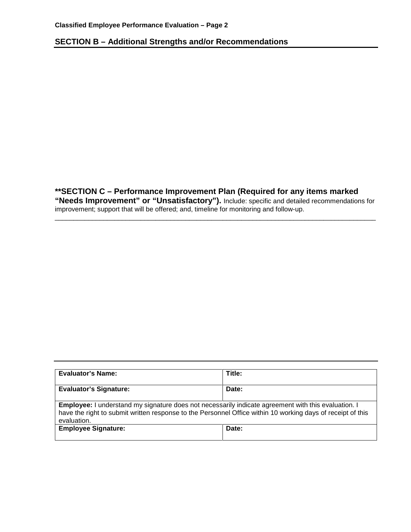# **SECTION B – Additional Strengths and/or Recommendations**

**\*\*SECTION C – Performance Improvement Plan (Required for any items marked "Needs Improvement" or "Unsatisfactory").** Include: specific and detailed recommendations for improvement; support that will be offered; and, timeline for monitoring and follow-up.

\_\_\_\_\_\_\_\_\_\_\_\_\_\_\_\_\_\_\_\_\_\_\_\_\_\_\_\_\_\_\_\_\_\_\_\_\_\_\_\_\_\_\_\_\_\_\_\_\_\_\_\_\_\_\_\_\_\_\_\_\_\_\_\_\_\_\_\_\_\_\_\_\_\_\_\_\_\_\_\_\_\_\_\_\_\_

| <b>Evaluator's Name:</b>                                                                                                                                                                                                                 | Title: |
|------------------------------------------------------------------------------------------------------------------------------------------------------------------------------------------------------------------------------------------|--------|
| <b>Evaluator's Signature:</b>                                                                                                                                                                                                            | Date:  |
| <b>Employee:</b> I understand my signature does not necessarily indicate agreement with this evaluation. I<br>have the right to submit written response to the Personnel Office within 10 working days of receipt of this<br>evaluation. |        |
| <b>Employee Signature:</b>                                                                                                                                                                                                               | Date:  |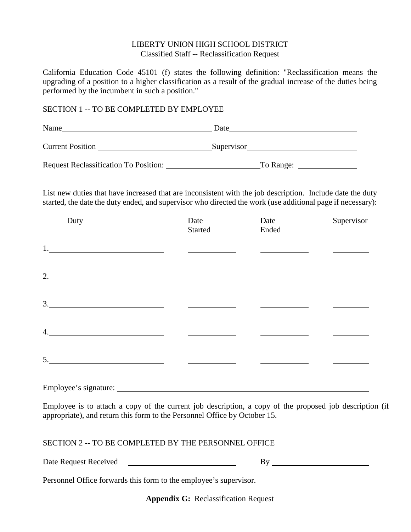#### LIBERTY UNION HIGH SCHOOL DISTRICT Classified Staff -- Reclassification Request

California Education Code 45101 (f) states the following definition: "Reclassification means the upgrading of a position to a higher classification as a result of the gradual increase of the duties being performed by the incumbent in such a position."

#### SECTION 1 -- TO BE COMPLETED BY EMPLOYEE

| Name                                         | Date       |
|----------------------------------------------|------------|
| <b>Current Position</b>                      | Supervisor |
| <b>Request Reclassification To Position:</b> | To Range:  |

List new duties that have increased that are inconsistent with the job description. Include date the duty started, the date the duty ended, and supervisor who directed the work (use additional page if necessary):

| Duty                                                                                                                                                                                                                                | Date<br>Started | Date<br>Ended | Supervisor |
|-------------------------------------------------------------------------------------------------------------------------------------------------------------------------------------------------------------------------------------|-----------------|---------------|------------|
|                                                                                                                                                                                                                                     |                 |               |            |
| 2.                                                                                                                                                                                                                                  |                 |               |            |
| 3.<br>the control of the control of the control of the control of the control of the control of the control of the control of the control of the control of the control of the control of the control of the control of the control |                 |               |            |
| 4.                                                                                                                                                                                                                                  |                 |               |            |
| 5.                                                                                                                                                                                                                                  |                 |               |            |

Employee's signature:

Employee is to attach a copy of the current job description, a copy of the proposed job description (if appropriate), and return this form to the Personnel Office by October 15.

## SECTION 2 -- TO BE COMPLETED BY THE PERSONNEL OFFICE

Date Request Received By

Personnel Office forwards this form to the employee's supervisor.

**Appendix G:** Reclassification Request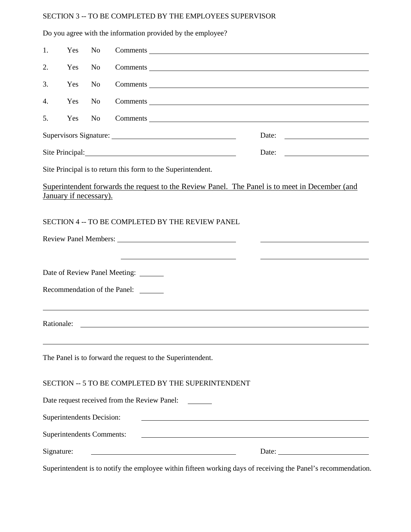## SECTION 3 -- TO BE COMPLETED BY THE EMPLOYEES SUPERVISOR

|            |     |                                  | Do you agree with the information provided by the employee?                                                           |                                                          |
|------------|-----|----------------------------------|-----------------------------------------------------------------------------------------------------------------------|----------------------------------------------------------|
| 1.         | Yes | N <sub>o</sub>                   |                                                                                                                       |                                                          |
| 2.         | Yes | N <sub>0</sub>                   |                                                                                                                       |                                                          |
| 3.         | Yes | N <sub>0</sub>                   |                                                                                                                       |                                                          |
| 4.         | Yes | N <sub>0</sub>                   |                                                                                                                       |                                                          |
| 5.         | Yes | N <sub>o</sub>                   |                                                                                                                       |                                                          |
|            |     |                                  |                                                                                                                       | Date:                                                    |
|            |     |                                  | Site Principal: 2000 and 2000 and 2000 and 2000 and 2000 and 2000 and 2000 and 2000 and 2000 and 2000 and 2000        | Date:<br><u> 1989 - Johann Stein, markinsk politik (</u> |
|            |     |                                  | Site Principal is to return this form to the Superintendent.                                                          |                                                          |
|            |     | January if necessary).           | Superintendent forwards the request to the Review Panel. The Panel is to meet in December (and                        |                                                          |
|            |     |                                  | SECTION 4 -- TO BE COMPLETED BY THE REVIEW PANEL                                                                      |                                                          |
|            |     |                                  |                                                                                                                       |                                                          |
|            |     |                                  | <u> 1989 - Johann Stein, mars an deus Amerikaansk kommunister (* 1950)</u>                                            |                                                          |
|            |     |                                  | Date of Review Panel Meeting: ______                                                                                  |                                                          |
|            |     |                                  | Recommendation of the Panel:                                                                                          |                                                          |
| Rationale: |     |                                  | <u> 1989 - John Stein, Amerikaansk politiker († 1989)</u>                                                             |                                                          |
|            |     |                                  |                                                                                                                       |                                                          |
|            |     |                                  | The Panel is to forward the request to the Superintendent.                                                            |                                                          |
|            |     |                                  | SECTION -- 5 TO BE COMPLETED BY THE SUPERINTENDENT                                                                    |                                                          |
|            |     |                                  | Date request received from the Review Panel: _______                                                                  |                                                          |
|            |     | Superintendents Decision:        |                                                                                                                       |                                                          |
|            |     | <b>Superintendents Comments:</b> | <u> 1980 - Johann Barn, mars ann an t-Amhain Aonaichte ann an t-Amhain Aonaichte ann an t-Amhain Aonaichte ann an</u> |                                                          |
| Signature: |     |                                  |                                                                                                                       | Date: $\qquad \qquad$                                    |

Superintendent is to notify the employee within fifteen working days of receiving the Panel's recommendation.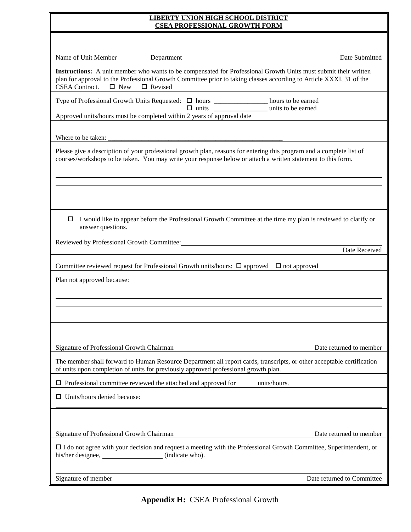| <b>LIBERTY UNION HIGH SCHOOL DISTRICT</b><br><b>CSEA PROFESSIONAL GROWTH FORM</b>                                                                                                                                                                                                               |
|-------------------------------------------------------------------------------------------------------------------------------------------------------------------------------------------------------------------------------------------------------------------------------------------------|
|                                                                                                                                                                                                                                                                                                 |
| Name of Unit Member<br>Date Submitted<br>Department                                                                                                                                                                                                                                             |
| Instructions: A unit member who wants to be compensated for Professional Growth Units must submit their written<br>plan for approval to the Professional Growth Committee prior to taking classes according to Article XXXI, 31 of the<br><b>CSEA</b> Contract.<br>$\Box$ New<br>$\Box$ Revised |
| Type of Professional Growth Units Requested: $\Box$ hours ___________________ hours to be earned<br>units to be earned<br>Approved units/hours must be completed within 2 years of approval date                                                                                                |
| Where to be taken:<br><u> 2008 - Andrea Andrew Maria (a carrier de la carrier de la carrier de la carrier de la carrier de la carrier d</u>                                                                                                                                                     |
| Please give a description of your professional growth plan, reasons for entering this program and a complete list of<br>courses/workshops to be taken. You may write your response below or attach a written statement to this form.                                                            |
|                                                                                                                                                                                                                                                                                                 |
|                                                                                                                                                                                                                                                                                                 |
| I would like to appear before the Professional Growth Committee at the time my plan is reviewed to clarify or<br>□<br>answer questions.                                                                                                                                                         |
| Reviewed by Professional Growth Committee: New York 2012 19:30 AM<br>Date Received                                                                                                                                                                                                              |
| Committee reviewed request for Professional Growth units/hours: $\Box$ approved $\Box$ not approved                                                                                                                                                                                             |
| Plan not approved because:                                                                                                                                                                                                                                                                      |
|                                                                                                                                                                                                                                                                                                 |
|                                                                                                                                                                                                                                                                                                 |
|                                                                                                                                                                                                                                                                                                 |
| Signature of Professional Growth Chairman<br>Date returned to member                                                                                                                                                                                                                            |
| The member shall forward to Human Resource Department all report cards, transcripts, or other acceptable certification<br>of units upon completion of units for previously approved professional growth plan.                                                                                   |
| $\Box$ Professional committee reviewed the attached and approved for<br>units/hours.                                                                                                                                                                                                            |
| $\Box$ Units/hours denied because: $\Box$                                                                                                                                                                                                                                                       |
|                                                                                                                                                                                                                                                                                                 |
| Signature of Professional Growth Chairman<br>Date returned to member                                                                                                                                                                                                                            |
| $\Box$ I do not agree with your decision and request a meeting with the Professional Growth Committee, Superintendent, or<br>his/her designee, (indicate who).                                                                                                                                  |
| Signature of member<br>Date returned to Committee                                                                                                                                                                                                                                               |

**Appendix H:** CSEA Professional Growth